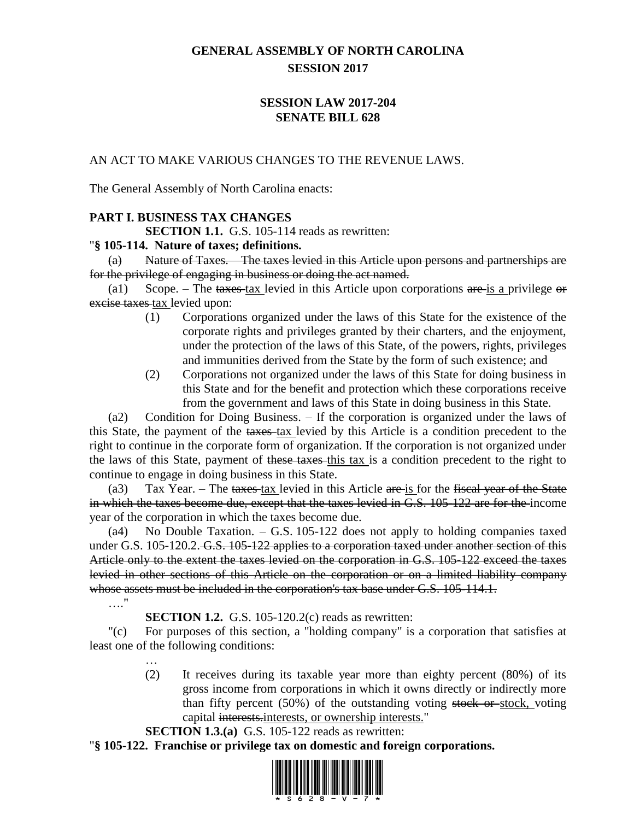# **GENERAL ASSEMBLY OF NORTH CAROLINA SESSION 2017**

# **SESSION LAW 2017-204 SENATE BILL 628**

### AN ACT TO MAKE VARIOUS CHANGES TO THE REVENUE LAWS.

The General Assembly of North Carolina enacts:

# **PART I. BUSINESS TAX CHANGES**

**SECTION 1.1.** G.S. 105-114 reads as rewritten:

#### "**§ 105-114. Nature of taxes; definitions.**

(a) Nature of Taxes. – The taxes levied in this Article upon persons and partnerships are for the privilege of engaging in business or doing the act named.

(a1) Scope. – The taxes tax levied in this Article upon corporations are is a privilege or excise taxes tax levied upon:

- (1) Corporations organized under the laws of this State for the existence of the corporate rights and privileges granted by their charters, and the enjoyment, under the protection of the laws of this State, of the powers, rights, privileges and immunities derived from the State by the form of such existence; and
- (2) Corporations not organized under the laws of this State for doing business in this State and for the benefit and protection which these corporations receive from the government and laws of this State in doing business in this State.

(a2) Condition for Doing Business. – If the corporation is organized under the laws of this State, the payment of the taxes tax levied by this Article is a condition precedent to the right to continue in the corporate form of organization. If the corporation is not organized under the laws of this State, payment of these taxes this tax is a condition precedent to the right to continue to engage in doing business in this State.

(a3) Tax Year. – The taxes tax levied in this Article are is for the fiscal year of the State in which the taxes become due, except that the taxes levied in G.S. 105-122 are for the income year of the corporation in which the taxes become due.

(a4) No Double Taxation. – G.S. 105-122 does not apply to holding companies taxed under G.S. 105-120.2. G.S. 105-122 applies to a corporation taxed under another section of this Article only to the extent the taxes levied on the corporation in G.S. 105-122 exceed the taxes levied in other sections of this Article on the corporation or on a limited liability company whose assets must be included in the corporation's tax base under G.S. 105-114.1.

…."

**SECTION 1.2.** G.S. 105-120.2(c) reads as rewritten:

"(c) For purposes of this section, a "holding company" is a corporation that satisfies at least one of the following conditions:

> (2) It receives during its taxable year more than eighty percent (80%) of its gross income from corporations in which it owns directly or indirectly more than fifty percent (50%) of the outstanding voting stock or stock, voting capital interests.interests, or ownership interests."

#### **SECTION 1.3.(a)** G.S. 105-122 reads as rewritten:

"**§ 105-122. Franchise or privilege tax on domestic and foreign corporations.**

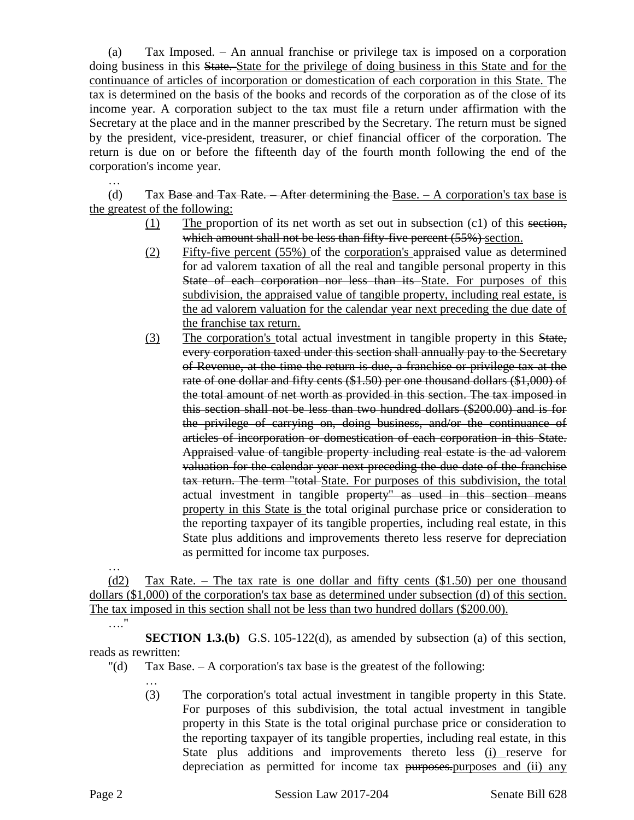(a) Tax Imposed. – An annual franchise or privilege tax is imposed on a corporation doing business in this State. State for the privilege of doing business in this State and for the continuance of articles of incorporation or domestication of each corporation in this State. The tax is determined on the basis of the books and records of the corporation as of the close of its income year. A corporation subject to the tax must file a return under affirmation with the Secretary at the place and in the manner prescribed by the Secretary. The return must be signed by the president, vice-president, treasurer, or chief financial officer of the corporation. The return is due on or before the fifteenth day of the fourth month following the end of the corporation's income year.

(d) Tax Base and Tax Rate. – After determining the Base.  $- A$  corporation's tax base is the greatest of the following:

- (1) The proportion of its net worth as set out in subsection  $(c1)$  of this section, which amount shall not be less than fifty-five percent (55%) section.
- (2) Fifty-five percent (55%) of the corporation's appraised value as determined for ad valorem taxation of all the real and tangible personal property in this State of each corporation nor less than its State. For purposes of this subdivision, the appraised value of tangible property, including real estate, is the ad valorem valuation for the calendar year next preceding the due date of the franchise tax return.
- (3) The corporation's total actual investment in tangible property in this State, every corporation taxed under this section shall annually pay to the Secretary of Revenue, at the time the return is due, a franchise or privilege tax at the rate of one dollar and fifty cents (\$1.50) per one thousand dollars (\$1,000) of the total amount of net worth as provided in this section. The tax imposed in this section shall not be less than two hundred dollars (\$200.00) and is for the privilege of carrying on, doing business, and/or the continuance of articles of incorporation or domestication of each corporation in this State. Appraised value of tangible property including real estate is the ad valorem valuation for the calendar year next preceding the due date of the franchise tax return. The term "total State. For purposes of this subdivision, the total actual investment in tangible property" as used in this section means property in this State is the total original purchase price or consideration to the reporting taxpayer of its tangible properties, including real estate, in this State plus additions and improvements thereto less reserve for depreciation as permitted for income tax purposes.

… (d2) Tax Rate. – The tax rate is one dollar and fifty cents (\$1.50) per one thousand dollars (\$1,000) of the corporation's tax base as determined under subsection (d) of this section. The tax imposed in this section shall not be less than two hundred dollars (\$200.00).  $\mathbb{R}^n$ 

**SECTION 1.3.(b)** G.S. 105-122(d), as amended by subsection (a) of this section, reads as rewritten:

 $"$ (d) Tax Base.  $- A$  corporation's tax base is the greatest of the following:

(3) The corporation's total actual investment in tangible property in this State. For purposes of this subdivision, the total actual investment in tangible property in this State is the total original purchase price or consideration to the reporting taxpayer of its tangible properties, including real estate, in this State plus additions and improvements thereto less (i) reserve for depreciation as permitted for income tax purposes.purposes and (ii) any

…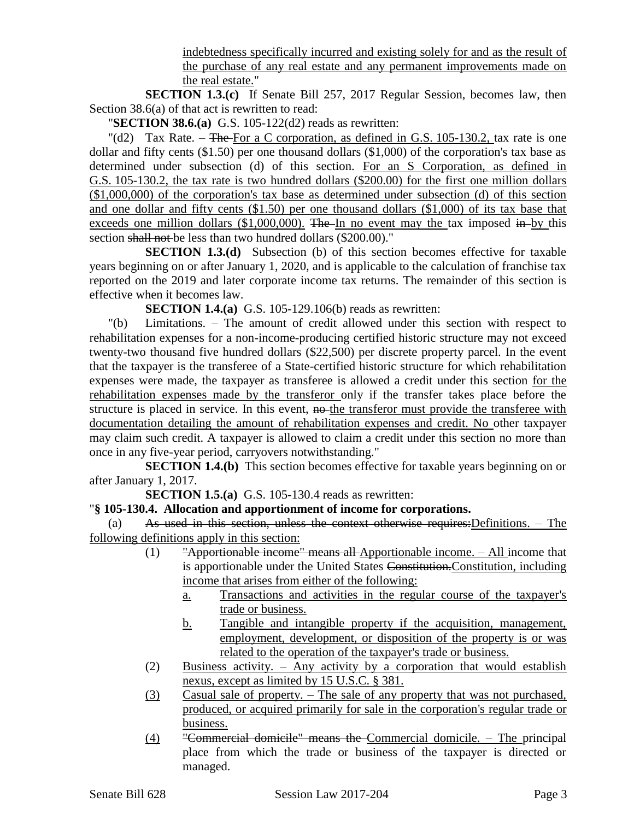indebtedness specifically incurred and existing solely for and as the result of the purchase of any real estate and any permanent improvements made on the real estate."

**SECTION 1.3.(c)** If Senate Bill 257, 2017 Regular Session, becomes law, then Section 38.6(a) of that act is rewritten to read:

"**SECTION 38.6.(a)** G.S. 105-122(d2) reads as rewritten:

"(d2) Tax Rate. – The For a C corporation, as defined in G.S. 105-130.2, tax rate is one dollar and fifty cents (\$1.50) per one thousand dollars (\$1,000) of the corporation's tax base as determined under subsection (d) of this section. For an S Corporation, as defined in G.S. 105-130.2, the tax rate is two hundred dollars (\$200.00) for the first one million dollars (\$1,000,000) of the corporation's tax base as determined under subsection (d) of this section and one dollar and fifty cents (\$1.50) per one thousand dollars (\$1,000) of its tax base that exceeds one million dollars  $(\$1,000,000)$ . The In no event may the tax imposed in by this section shall not be less than two hundred dollars (\$200.00)."

**SECTION 1.3.(d)** Subsection (b) of this section becomes effective for taxable years beginning on or after January 1, 2020, and is applicable to the calculation of franchise tax reported on the 2019 and later corporate income tax returns. The remainder of this section is effective when it becomes law.

**SECTION 1.4.(a)** G.S. 105-129.106(b) reads as rewritten:

"(b) Limitations. – The amount of credit allowed under this section with respect to rehabilitation expenses for a non-income-producing certified historic structure may not exceed twenty-two thousand five hundred dollars (\$22,500) per discrete property parcel. In the event that the taxpayer is the transferee of a State-certified historic structure for which rehabilitation expenses were made, the taxpayer as transferee is allowed a credit under this section for the rehabilitation expenses made by the transferor only if the transfer takes place before the structure is placed in service. In this event, no-the transferor must provide the transferee with documentation detailing the amount of rehabilitation expenses and credit. No other taxpayer may claim such credit. A taxpayer is allowed to claim a credit under this section no more than once in any five-year period, carryovers notwithstanding."

**SECTION 1.4.(b)** This section becomes effective for taxable years beginning on or after January 1, 2017.

**SECTION 1.5.(a)** G.S. 105-130.4 reads as rewritten:

# "**§ 105-130.4. Allocation and apportionment of income for corporations.**

(a) As used in this section, unless the context otherwise requires:Definitions. – The following definitions apply in this section:

- (1) "Apportionable income" means all Apportionable income. All income that is apportionable under the United States Constitution.Constitution, including income that arises from either of the following:
	- a. Transactions and activities in the regular course of the taxpayer's trade or business.
	- b. Tangible and intangible property if the acquisition, management, employment, development, or disposition of the property is or was related to the operation of the taxpayer's trade or business.
- (2) Business activity. Any activity by a corporation that would establish nexus, except as limited by 15 U.S.C. § 381.
- (3) Casual sale of property. The sale of any property that was not purchased, produced, or acquired primarily for sale in the corporation's regular trade or business.
- (4) "Commercial domicile" means the Commercial domicile. The principal place from which the trade or business of the taxpayer is directed or managed.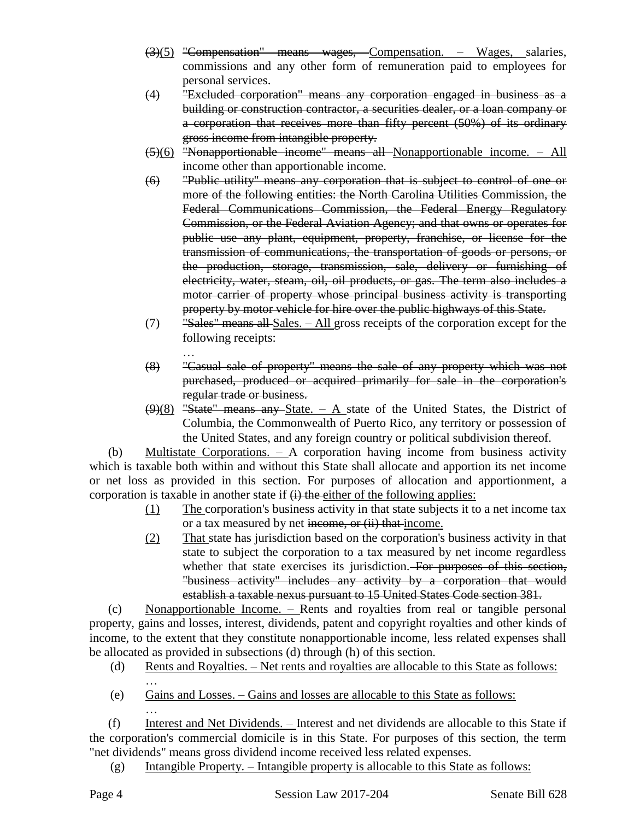- (3)(5) "Compensation" means wages, Compensation. Wages, salaries, commissions and any other form of remuneration paid to employees for personal services.
- (4) "Excluded corporation" means any corporation engaged in business as a building or construction contractor, a securities dealer, or a loan company or a corporation that receives more than fifty percent (50%) of its ordinary gross income from intangible property.
- (5)(6) "Nonapportionable income" means all Nonapportionable income. All income other than apportionable income.
- (6) "Public utility" means any corporation that is subject to control of one or more of the following entities: the North Carolina Utilities Commission, the Federal Communications Commission, the Federal Energy Regulatory Commission, or the Federal Aviation Agency; and that owns or operates for public use any plant, equipment, property, franchise, or license for the transmission of communications, the transportation of goods or persons, or the production, storage, transmission, sale, delivery or furnishing of electricity, water, steam, oil, oil products, or gas. The term also includes a motor carrier of property whose principal business activity is transporting property by motor vehicle for hire over the public highways of this State.
- $(7)$  "Sales" means all Sales. All gross receipts of the corporation except for the following receipts:
- … (8) "Casual sale of property" means the sale of any property which was not purchased, produced or acquired primarily for sale in the corporation's regular trade or business.
- $(9)(8)$  "State" means any State. A state of the United States, the District of Columbia, the Commonwealth of Puerto Rico, any territory or possession of the United States, and any foreign country or political subdivision thereof.

(b) Multistate Corporations. – A corporation having income from business activity which is taxable both within and without this State shall allocate and apportion its net income or net loss as provided in this section. For purposes of allocation and apportionment, a corporation is taxable in another state if  $\overrightarrow{(i)}$  the either of the following applies:

- (1) The corporation's business activity in that state subjects it to a net income tax or a tax measured by net income, or (ii) that income.
- (2) That state has jurisdiction based on the corporation's business activity in that state to subject the corporation to a tax measured by net income regardless whether that state exercises its jurisdiction. For purposes of this section, "business activity" includes any activity by a corporation that would establish a taxable nexus pursuant to 15 United States Code section 381.

(c) Nonapportionable Income. – Rents and royalties from real or tangible personal property, gains and losses, interest, dividends, patent and copyright royalties and other kinds of income, to the extent that they constitute nonapportionable income, less related expenses shall be allocated as provided in subsections (d) through (h) of this section.

- (d) Rents and Royalties. Net rents and royalties are allocable to this State as follows:
- … (e) Gains and Losses. – Gains and losses are allocable to this State as follows: …

(f) Interest and Net Dividends. – Interest and net dividends are allocable to this State if the corporation's commercial domicile is in this State. For purposes of this section, the term "net dividends" means gross dividend income received less related expenses.

(g) Intangible Property. – Intangible property is allocable to this State as follows: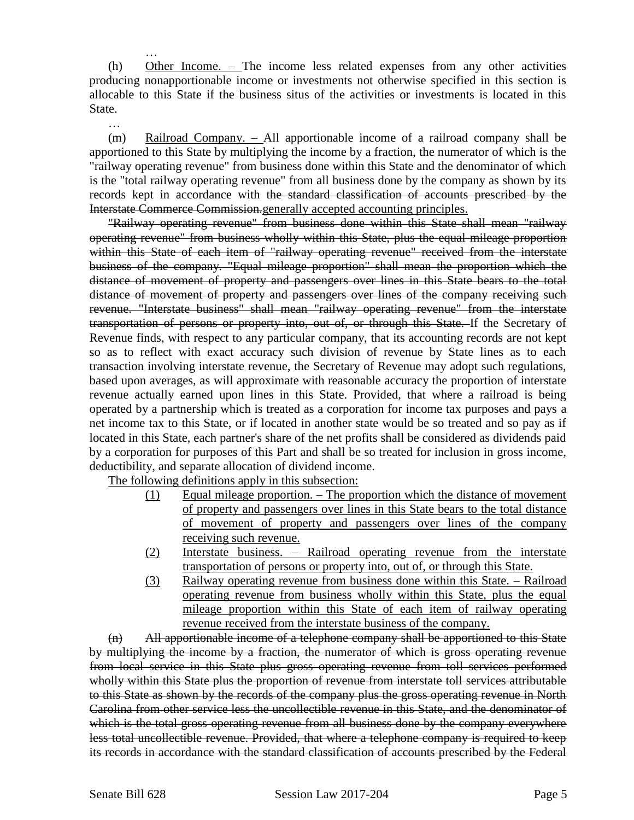… (h) Other Income. – The income less related expenses from any other activities producing nonapportionable income or investments not otherwise specified in this section is allocable to this State if the business situs of the activities or investments is located in this State.

(m) Railroad Company. – All apportionable income of a railroad company shall be apportioned to this State by multiplying the income by a fraction, the numerator of which is the "railway operating revenue" from business done within this State and the denominator of which is the "total railway operating revenue" from all business done by the company as shown by its records kept in accordance with the standard classification of accounts prescribed by the Interstate Commerce Commission.generally accepted accounting principles.

"Railway operating revenue" from business done within this State shall mean "railway operating revenue" from business wholly within this State, plus the equal mileage proportion within this State of each item of "railway operating revenue" received from the interstate business of the company. "Equal mileage proportion" shall mean the proportion which the distance of movement of property and passengers over lines in this State bears to the total distance of movement of property and passengers over lines of the company receiving such revenue. "Interstate business" shall mean "railway operating revenue" from the interstate transportation of persons or property into, out of, or through this State. If the Secretary of Revenue finds, with respect to any particular company, that its accounting records are not kept so as to reflect with exact accuracy such division of revenue by State lines as to each transaction involving interstate revenue, the Secretary of Revenue may adopt such regulations, based upon averages, as will approximate with reasonable accuracy the proportion of interstate revenue actually earned upon lines in this State. Provided, that where a railroad is being operated by a partnership which is treated as a corporation for income tax purposes and pays a net income tax to this State, or if located in another state would be so treated and so pay as if located in this State, each partner's share of the net profits shall be considered as dividends paid by a corporation for purposes of this Part and shall be so treated for inclusion in gross income, deductibility, and separate allocation of dividend income.

The following definitions apply in this subsection:

- (1) Equal mileage proportion. The proportion which the distance of movement of property and passengers over lines in this State bears to the total distance of movement of property and passengers over lines of the company receiving such revenue.
- (2) Interstate business. Railroad operating revenue from the interstate transportation of persons or property into, out of, or through this State.
- (3) Railway operating revenue from business done within this State. Railroad operating revenue from business wholly within this State, plus the equal mileage proportion within this State of each item of railway operating revenue received from the interstate business of the company.

 $(n)$  All apportionable income of a telephone company shall be apportioned to this State by multiplying the income by a fraction, the numerator of which is gross operating revenue from local service in this State plus gross operating revenue from toll services performed wholly within this State plus the proportion of revenue from interstate toll services attributable to this State as shown by the records of the company plus the gross operating revenue in North Carolina from other service less the uncollectible revenue in this State, and the denominator of which is the total gross operating revenue from all business done by the company everywhere less total uncollectible revenue. Provided, that where a telephone company is required to keep its records in accordance with the standard classification of accounts prescribed by the Federal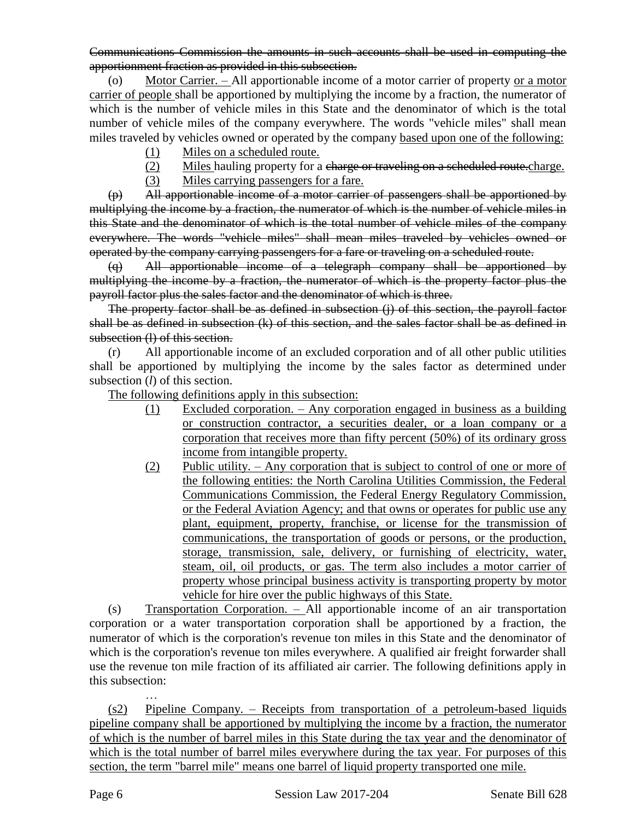Communications Commission the amounts in such accounts shall be used in computing the apportionment fraction as provided in this subsection.

Motor Carrier. – All apportionable income of a motor carrier of property or a motor carrier of people shall be apportioned by multiplying the income by a fraction, the numerator of which is the number of vehicle miles in this State and the denominator of which is the total number of vehicle miles of the company everywhere. The words "vehicle miles" shall mean miles traveled by vehicles owned or operated by the company based upon one of the following:

- (1) Miles on a scheduled route.
- (2) Miles hauling property for a charge or traveling on a scheduled route.charge.
- (3) Miles carrying passengers for a fare.

(p) All apportionable income of a motor carrier of passengers shall be apportioned by multiplying the income by a fraction, the numerator of which is the number of vehicle miles in this State and the denominator of which is the total number of vehicle miles of the company everywhere. The words "vehicle miles" shall mean miles traveled by vehicles owned or operated by the company carrying passengers for a fare or traveling on a scheduled route.

(q) All apportionable income of a telegraph company shall be apportioned by multiplying the income by a fraction, the numerator of which is the property factor plus the payroll factor plus the sales factor and the denominator of which is three.

The property factor shall be as defined in subsection (j) of this section, the payroll factor shall be as defined in subsection (k) of this section, and the sales factor shall be as defined in subsection (1) of this section.

(r) All apportionable income of an excluded corporation and of all other public utilities shall be apportioned by multiplying the income by the sales factor as determined under subsection (*l*) of this section.

The following definitions apply in this subsection:

- (1) Excluded corporation. Any corporation engaged in business as a building or construction contractor, a securities dealer, or a loan company or a corporation that receives more than fifty percent (50%) of its ordinary gross income from intangible property.
- (2) Public utility. Any corporation that is subject to control of one or more of the following entities: the North Carolina Utilities Commission, the Federal Communications Commission, the Federal Energy Regulatory Commission, or the Federal Aviation Agency; and that owns or operates for public use any plant, equipment, property, franchise, or license for the transmission of communications, the transportation of goods or persons, or the production, storage, transmission, sale, delivery, or furnishing of electricity, water, steam, oil, oil products, or gas. The term also includes a motor carrier of property whose principal business activity is transporting property by motor vehicle for hire over the public highways of this State.

(s) Transportation Corporation. – All apportionable income of an air transportation corporation or a water transportation corporation shall be apportioned by a fraction, the numerator of which is the corporation's revenue ton miles in this State and the denominator of which is the corporation's revenue ton miles everywhere. A qualified air freight forwarder shall use the revenue ton mile fraction of its affiliated air carrier. The following definitions apply in this subsection:

(s2) Pipeline Company. – Receipts from transportation of a petroleum-based liquids pipeline company shall be apportioned by multiplying the income by a fraction, the numerator of which is the number of barrel miles in this State during the tax year and the denominator of which is the total number of barrel miles everywhere during the tax year. For purposes of this section, the term "barrel mile" means one barrel of liquid property transported one mile.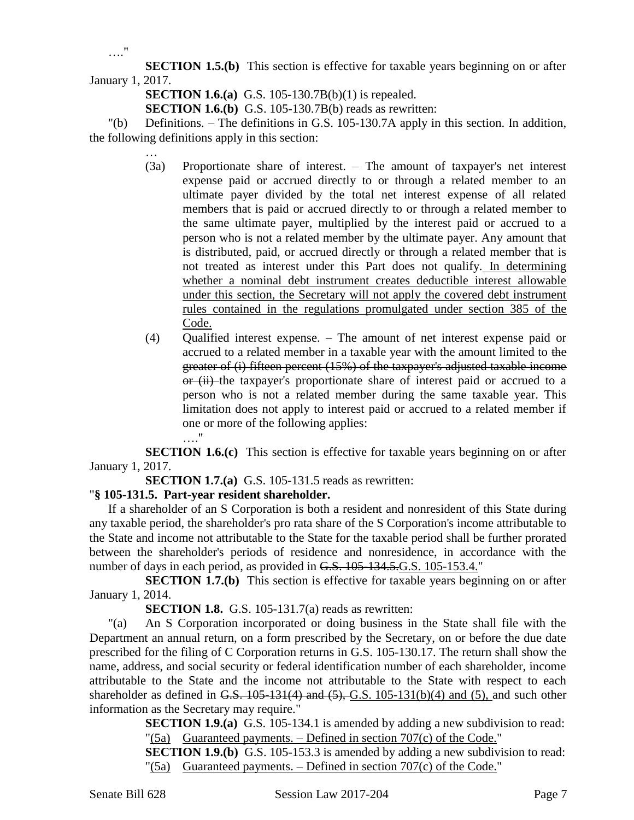**SECTION 1.5.(b)** This section is effective for taxable years beginning on or after January 1, 2017.

**SECTION 1.6.(a)** G.S. 105-130.7B(b)(1) is repealed.

**SECTION 1.6.(b)** G.S. 105-130.7B(b) reads as rewritten:

"(b) Definitions. – The definitions in G.S. 105-130.7A apply in this section. In addition, the following definitions apply in this section:

- … (3a) Proportionate share of interest. – The amount of taxpayer's net interest expense paid or accrued directly to or through a related member to an ultimate payer divided by the total net interest expense of all related members that is paid or accrued directly to or through a related member to the same ultimate payer, multiplied by the interest paid or accrued to a person who is not a related member by the ultimate payer. Any amount that is distributed, paid, or accrued directly or through a related member that is not treated as interest under this Part does not qualify. In determining whether a nominal debt instrument creates deductible interest allowable under this section, the Secretary will not apply the covered debt instrument rules contained in the regulations promulgated under section 385 of the Code.
- (4) Qualified interest expense. The amount of net interest expense paid or accrued to a related member in a taxable year with the amount limited to the greater of (i) fifteen percent (15%) of the taxpayer's adjusted taxable income or (ii) the taxpayer's proportionate share of interest paid or accrued to a person who is not a related member during the same taxable year. This limitation does not apply to interest paid or accrued to a related member if one or more of the following applies: …."

**SECTION 1.6.(c)** This section is effective for taxable years beginning on or after January 1, 2017.

**SECTION 1.7.(a)** G.S. 105-131.5 reads as rewritten:

#### "**§ 105-131.5. Part-year resident shareholder.**

If a shareholder of an S Corporation is both a resident and nonresident of this State during any taxable period, the shareholder's pro rata share of the S Corporation's income attributable to the State and income not attributable to the State for the taxable period shall be further prorated between the shareholder's periods of residence and nonresidence, in accordance with the number of days in each period, as provided in G.S. 105-134.5.G.S. 105-153.4."

**SECTION 1.7.(b)** This section is effective for taxable years beginning on or after January 1, 2014.

**SECTION 1.8.** G.S. 105-131.7(a) reads as rewritten:

"(a) An S Corporation incorporated or doing business in the State shall file with the Department an annual return, on a form prescribed by the Secretary, on or before the due date prescribed for the filing of C Corporation returns in G.S. 105-130.17. The return shall show the name, address, and social security or federal identification number of each shareholder, income attributable to the State and the income not attributable to the State with respect to each shareholder as defined in G.S.  $105-131(4)$  and  $(5)$ , G.S.  $105-131(b)(4)$  and  $(5)$ , and such other information as the Secretary may require."

**SECTION 1.9.(a)** G.S. 105-134.1 is amended by adding a new subdivision to read:  $\Gamma(5a)$  Guaranteed payments. – Defined in section 707 $(c)$  of the Code."

**SECTION 1.9.(b)** G.S. 105-153.3 is amended by adding a new subdivision to read: "(5a) Guaranteed payments.  $-$  Defined in section 707(c) of the Code."

…."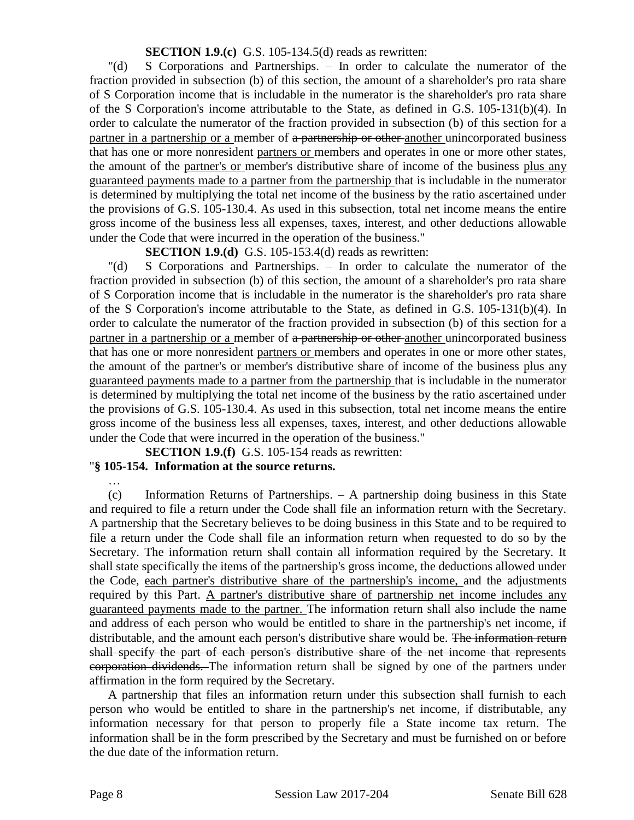#### **SECTION 1.9.(c)** G.S. 105-134.5(d) reads as rewritten:

"(d) S Corporations and Partnerships. – In order to calculate the numerator of the fraction provided in subsection (b) of this section, the amount of a shareholder's pro rata share of S Corporation income that is includable in the numerator is the shareholder's pro rata share of the S Corporation's income attributable to the State, as defined in G.S. 105-131(b)(4). In order to calculate the numerator of the fraction provided in subsection (b) of this section for a partner in a partnership or a member of a partnership or other another unincorporated business that has one or more nonresident partners or members and operates in one or more other states, the amount of the partner's or member's distributive share of income of the business plus any guaranteed payments made to a partner from the partnership that is includable in the numerator is determined by multiplying the total net income of the business by the ratio ascertained under the provisions of G.S. 105-130.4. As used in this subsection, total net income means the entire gross income of the business less all expenses, taxes, interest, and other deductions allowable under the Code that were incurred in the operation of the business."

**SECTION 1.9.(d)** G.S. 105-153.4(d) reads as rewritten:

"(d) S Corporations and Partnerships. – In order to calculate the numerator of the fraction provided in subsection (b) of this section, the amount of a shareholder's pro rata share of S Corporation income that is includable in the numerator is the shareholder's pro rata share of the S Corporation's income attributable to the State, as defined in G.S. 105-131(b)(4). In order to calculate the numerator of the fraction provided in subsection (b) of this section for a partner in a partnership or a member of a partnership or other another unincorporated business that has one or more nonresident partners or members and operates in one or more other states, the amount of the partner's or member's distributive share of income of the business plus any guaranteed payments made to a partner from the partnership that is includable in the numerator is determined by multiplying the total net income of the business by the ratio ascertained under the provisions of G.S. 105-130.4. As used in this subsection, total net income means the entire gross income of the business less all expenses, taxes, interest, and other deductions allowable under the Code that were incurred in the operation of the business."

**SECTION 1.9.(f)** G.S. 105-154 reads as rewritten:

# "**§ 105-154. Information at the source returns.**

(c) Information Returns of Partnerships. – A partnership doing business in this State and required to file a return under the Code shall file an information return with the Secretary. A partnership that the Secretary believes to be doing business in this State and to be required to file a return under the Code shall file an information return when requested to do so by the Secretary. The information return shall contain all information required by the Secretary. It shall state specifically the items of the partnership's gross income, the deductions allowed under the Code, each partner's distributive share of the partnership's income, and the adjustments required by this Part. A partner's distributive share of partnership net income includes any guaranteed payments made to the partner. The information return shall also include the name and address of each person who would be entitled to share in the partnership's net income, if distributable, and the amount each person's distributive share would be. The information return shall specify the part of each person's distributive share of the net income that represents corporation dividends. The information return shall be signed by one of the partners under affirmation in the form required by the Secretary.

A partnership that files an information return under this subsection shall furnish to each person who would be entitled to share in the partnership's net income, if distributable, any information necessary for that person to properly file a State income tax return. The information shall be in the form prescribed by the Secretary and must be furnished on or before the due date of the information return.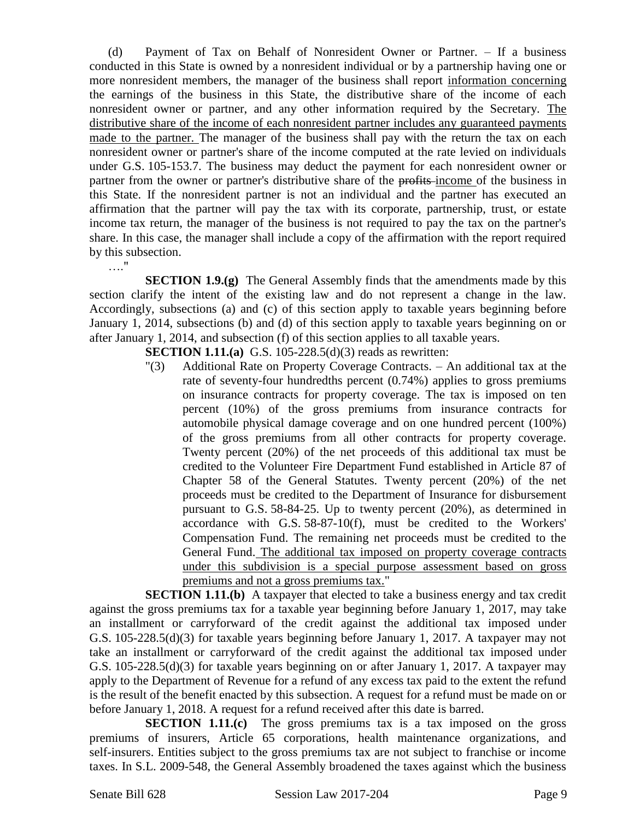(d) Payment of Tax on Behalf of Nonresident Owner or Partner. – If a business conducted in this State is owned by a nonresident individual or by a partnership having one or more nonresident members, the manager of the business shall report information concerning the earnings of the business in this State, the distributive share of the income of each nonresident owner or partner, and any other information required by the Secretary. The distributive share of the income of each nonresident partner includes any guaranteed payments made to the partner. The manager of the business shall pay with the return the tax on each nonresident owner or partner's share of the income computed at the rate levied on individuals under G.S. 105-153.7. The business may deduct the payment for each nonresident owner or partner from the owner or partner's distributive share of the profits-income of the business in this State. If the nonresident partner is not an individual and the partner has executed an affirmation that the partner will pay the tax with its corporate, partnership, trust, or estate income tax return, the manager of the business is not required to pay the tax on the partner's share. In this case, the manager shall include a copy of the affirmation with the report required by this subsection.

**SECTION 1.9.(g)** The General Assembly finds that the amendments made by this section clarify the intent of the existing law and do not represent a change in the law. Accordingly, subsections (a) and (c) of this section apply to taxable years beginning before January 1, 2014, subsections (b) and (d) of this section apply to taxable years beginning on or after January 1, 2014, and subsection (f) of this section applies to all taxable years.

**SECTION 1.11.(a)** G.S. 105-228.5(d)(3) reads as rewritten:

"(3) Additional Rate on Property Coverage Contracts. – An additional tax at the rate of seventy-four hundredths percent (0.74%) applies to gross premiums on insurance contracts for property coverage. The tax is imposed on ten percent (10%) of the gross premiums from insurance contracts for automobile physical damage coverage and on one hundred percent (100%) of the gross premiums from all other contracts for property coverage. Twenty percent (20%) of the net proceeds of this additional tax must be credited to the Volunteer Fire Department Fund established in Article 87 of Chapter 58 of the General Statutes. Twenty percent (20%) of the net proceeds must be credited to the Department of Insurance for disbursement pursuant to G.S. 58-84-25. Up to twenty percent (20%), as determined in accordance with G.S. 58-87-10(f), must be credited to the Workers' Compensation Fund. The remaining net proceeds must be credited to the General Fund. The additional tax imposed on property coverage contracts under this subdivision is a special purpose assessment based on gross premiums and not a gross premiums tax."

**SECTION 1.11.(b)** A taxpayer that elected to take a business energy and tax credit against the gross premiums tax for a taxable year beginning before January 1, 2017, may take an installment or carryforward of the credit against the additional tax imposed under G.S. 105-228.5(d)(3) for taxable years beginning before January 1, 2017. A taxpayer may not take an installment or carryforward of the credit against the additional tax imposed under G.S. 105-228.5(d)(3) for taxable years beginning on or after January 1, 2017. A taxpayer may apply to the Department of Revenue for a refund of any excess tax paid to the extent the refund is the result of the benefit enacted by this subsection. A request for a refund must be made on or before January 1, 2018. A request for a refund received after this date is barred.

**SECTION 1.11.(c)** The gross premiums tax is a tax imposed on the gross premiums of insurers, Article 65 corporations, health maintenance organizations, and self-insurers. Entities subject to the gross premiums tax are not subject to franchise or income taxes. In S.L. 2009-548, the General Assembly broadened the taxes against which the business

…."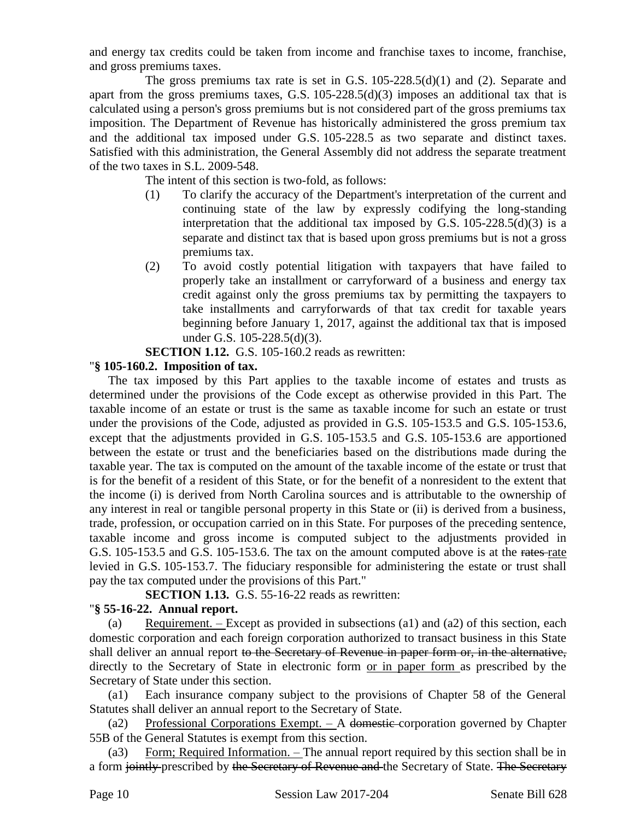and energy tax credits could be taken from income and franchise taxes to income, franchise, and gross premiums taxes.

The gross premiums tax rate is set in G.S.  $105-228.5(d)(1)$  and (2). Separate and apart from the gross premiums taxes, G.S. 105-228.5(d)(3) imposes an additional tax that is calculated using a person's gross premiums but is not considered part of the gross premiums tax imposition. The Department of Revenue has historically administered the gross premium tax and the additional tax imposed under G.S. 105-228.5 as two separate and distinct taxes. Satisfied with this administration, the General Assembly did not address the separate treatment of the two taxes in S.L. 2009-548.

The intent of this section is two-fold, as follows:

- (1) To clarify the accuracy of the Department's interpretation of the current and continuing state of the law by expressly codifying the long-standing interpretation that the additional tax imposed by G.S.  $105-228.5(d)(3)$  is a separate and distinct tax that is based upon gross premiums but is not a gross premiums tax.
- (2) To avoid costly potential litigation with taxpayers that have failed to properly take an installment or carryforward of a business and energy tax credit against only the gross premiums tax by permitting the taxpayers to take installments and carryforwards of that tax credit for taxable years beginning before January 1, 2017, against the additional tax that is imposed under G.S. 105-228.5(d)(3).

**SECTION 1.12.** G.S. 105-160.2 reads as rewritten:

### "**§ 105-160.2. Imposition of tax.**

The tax imposed by this Part applies to the taxable income of estates and trusts as determined under the provisions of the Code except as otherwise provided in this Part. The taxable income of an estate or trust is the same as taxable income for such an estate or trust under the provisions of the Code, adjusted as provided in G.S. 105-153.5 and G.S. 105-153.6, except that the adjustments provided in G.S. 105-153.5 and G.S. 105-153.6 are apportioned between the estate or trust and the beneficiaries based on the distributions made during the taxable year. The tax is computed on the amount of the taxable income of the estate or trust that is for the benefit of a resident of this State, or for the benefit of a nonresident to the extent that the income (i) is derived from North Carolina sources and is attributable to the ownership of any interest in real or tangible personal property in this State or (ii) is derived from a business, trade, profession, or occupation carried on in this State. For purposes of the preceding sentence, taxable income and gross income is computed subject to the adjustments provided in G.S. 105-153.5 and G.S. 105-153.6. The tax on the amount computed above is at the rates rate levied in G.S. 105-153.7. The fiduciary responsible for administering the estate or trust shall pay the tax computed under the provisions of this Part."

**SECTION 1.13.** G.S. 55-16-22 reads as rewritten:

# "**§ 55-16-22. Annual report.**

(a) Requirement. – Except as provided in subsections (a1) and (a2) of this section, each domestic corporation and each foreign corporation authorized to transact business in this State shall deliver an annual report to the Secretary of Revenue in paper form or, in the alternative, directly to the Secretary of State in electronic form or in paper form as prescribed by the Secretary of State under this section.

(a1) Each insurance company subject to the provisions of Chapter 58 of the General Statutes shall deliver an annual report to the Secretary of State.

(a2) Professional Corporations Exempt. – A domestic corporation governed by Chapter 55B of the General Statutes is exempt from this section.

(a3) Form; Required Information. – The annual report required by this section shall be in a form jointly prescribed by the Secretary of Revenue and the Secretary of State. The Secretary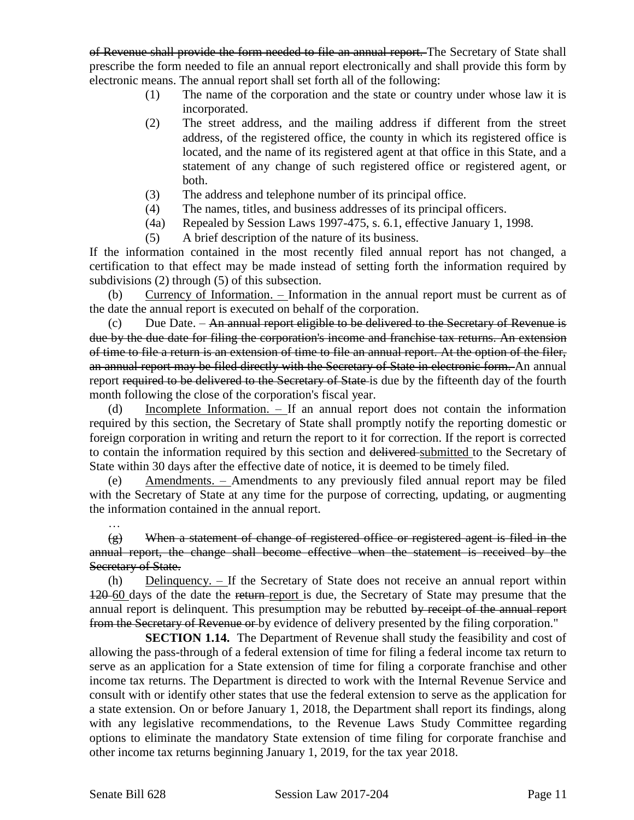of Revenue shall provide the form needed to file an annual report. The Secretary of State shall prescribe the form needed to file an annual report electronically and shall provide this form by electronic means. The annual report shall set forth all of the following:

- (1) The name of the corporation and the state or country under whose law it is incorporated.
- (2) The street address, and the mailing address if different from the street address, of the registered office, the county in which its registered office is located, and the name of its registered agent at that office in this State, and a statement of any change of such registered office or registered agent, or both.
- (3) The address and telephone number of its principal office.
- (4) The names, titles, and business addresses of its principal officers.
- (4a) Repealed by Session Laws 1997-475, s. 6.1, effective January 1, 1998.
- (5) A brief description of the nature of its business.

If the information contained in the most recently filed annual report has not changed, a certification to that effect may be made instead of setting forth the information required by subdivisions (2) through (5) of this subsection.

(b) Currency of Information. – Information in the annual report must be current as of the date the annual report is executed on behalf of the corporation.

 $(c)$  Due Date. – An annual report eligible to be delivered to the Secretary of Revenue is due by the due date for filing the corporation's income and franchise tax returns. An extension of time to file a return is an extension of time to file an annual report. At the option of the filer, an annual report may be filed directly with the Secretary of State in electronic form. An annual report required to be delivered to the Secretary of State-is due by the fifteenth day of the fourth month following the close of the corporation's fiscal year.

Incomplete Information.  $-$  If an annual report does not contain the information required by this section, the Secretary of State shall promptly notify the reporting domestic or foreign corporation in writing and return the report to it for correction. If the report is corrected to contain the information required by this section and delivered submitted to the Secretary of State within 30 days after the effective date of notice, it is deemed to be timely filed.

(e) Amendments. – Amendments to any previously filed annual report may be filed with the Secretary of State at any time for the purpose of correcting, updating, or augmenting the information contained in the annual report.

(g) When a statement of change of registered office or registered agent is filed in the annual report, the change shall become effective when the statement is received by the Secretary of State.

(h) Delinquency. – If the Secretary of State does not receive an annual report within 120–60 days of the date the return-report is due, the Secretary of State may presume that the annual report is delinquent. This presumption may be rebutted by receipt of the annual report from the Secretary of Revenue or by evidence of delivery presented by the filing corporation."

**SECTION 1.14.** The Department of Revenue shall study the feasibility and cost of allowing the pass-through of a federal extension of time for filing a federal income tax return to serve as an application for a State extension of time for filing a corporate franchise and other income tax returns. The Department is directed to work with the Internal Revenue Service and consult with or identify other states that use the federal extension to serve as the application for a state extension. On or before January 1, 2018, the Department shall report its findings, along with any legislative recommendations, to the Revenue Laws Study Committee regarding options to eliminate the mandatory State extension of time filing for corporate franchise and other income tax returns beginning January 1, 2019, for the tax year 2018.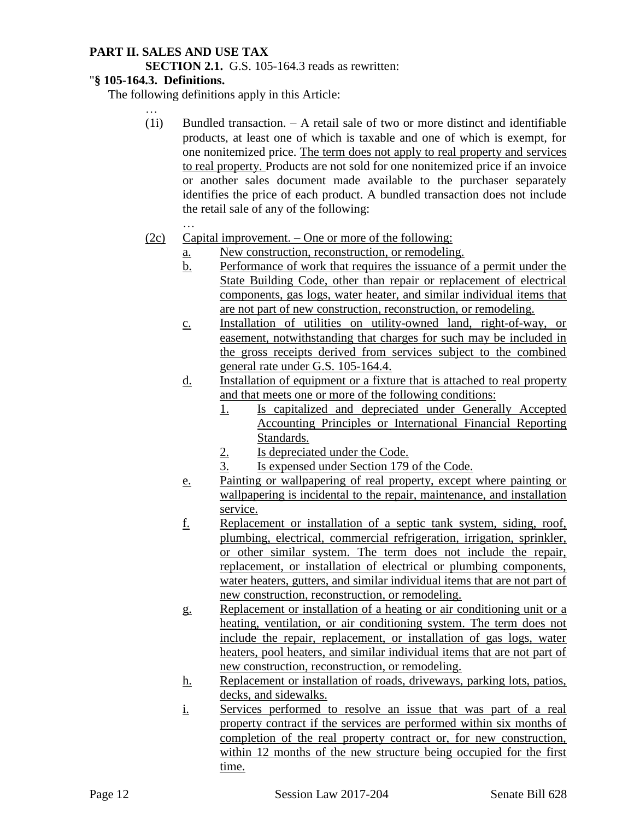### **PART II. SALES AND USE TAX**

**SECTION 2.1.** G.S. 105-164.3 reads as rewritten:

#### "**§ 105-164.3. Definitions.**

The following definitions apply in this Article:

(1i) Bundled transaction. – A retail sale of two or more distinct and identifiable products, at least one of which is taxable and one of which is exempt, for one nonitemized price. The term does not apply to real property and services to real property. Products are not sold for one nonitemized price if an invoice or another sales document made available to the purchaser separately identifies the price of each product. A bundled transaction does not include the retail sale of any of the following:

- (2c) Capital improvement. One or more of the following:
	- a. New construction, reconstruction, or remodeling.
	- b. Performance of work that requires the issuance of a permit under the State Building Code, other than repair or replacement of electrical components, gas logs, water heater, and similar individual items that are not part of new construction, reconstruction, or remodeling.
	- c. Installation of utilities on utility-owned land, right-of-way, or easement, notwithstanding that charges for such may be included in the gross receipts derived from services subject to the combined general rate under G.S. 105-164.4.
	- d. Installation of equipment or a fixture that is attached to real property and that meets one or more of the following conditions:
		- 1. Is capitalized and depreciated under Generally Accepted Accounting Principles or International Financial Reporting Standards.
		- 2. Is depreciated under the Code.
		- 3. Is expensed under Section 179 of the Code.
	- e. Painting or wallpapering of real property, except where painting or wallpapering is incidental to the repair, maintenance, and installation service.
	- f. Replacement or installation of a septic tank system, siding, roof, plumbing, electrical, commercial refrigeration, irrigation, sprinkler, or other similar system. The term does not include the repair, replacement, or installation of electrical or plumbing components, water heaters, gutters, and similar individual items that are not part of new construction, reconstruction, or remodeling.
	- g. Replacement or installation of a heating or air conditioning unit or a heating, ventilation, or air conditioning system. The term does not include the repair, replacement, or installation of gas logs, water heaters, pool heaters, and similar individual items that are not part of new construction, reconstruction, or remodeling.
	- h. Replacement or installation of roads, driveways, parking lots, patios, decks, and sidewalks.
	- i. Services performed to resolve an issue that was part of a real property contract if the services are performed within six months of completion of the real property contract or, for new construction, within 12 months of the new structure being occupied for the first time.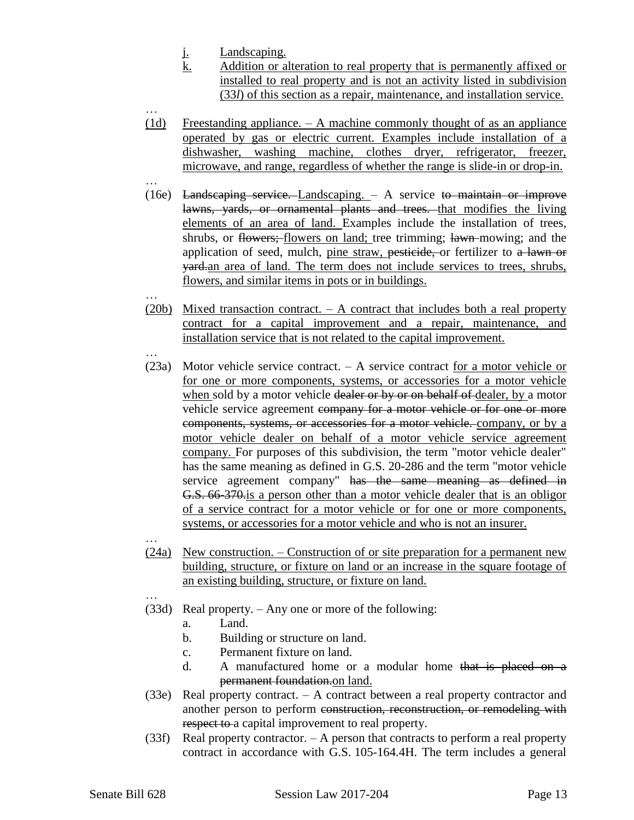- j. Landscaping.
- k. Addition or alteration to real property that is permanently affixed or installed to real property and is not an activity listed in subdivision (33*l*) of this section as a repair, maintenance, and installation service.
- … (1d) Freestanding appliance. – A machine commonly thought of as an appliance operated by gas or electric current. Examples include installation of a dishwasher, washing machine, clothes dryer, refrigerator, freezer, microwave, and range, regardless of whether the range is slide-in or drop-in.
- … (16e) Landscaping service. Landscaping. – A service to maintain or improve lawns, yards, or ornamental plants and trees. that modifies the living elements of an area of land. Examples include the installation of trees, shrubs, or flowers; flowers on land; tree trimming; lawn mowing; and the application of seed, mulch, pine straw, pesticide, or fertilizer to a lawn or yard.an area of land. The term does not include services to trees, shrubs, flowers, and similar items in pots or in buildings.
- … (20b) Mixed transaction contract. – A contract that includes both a real property contract for a capital improvement and a repair, maintenance, and installation service that is not related to the capital improvement.
- … (23a) Motor vehicle service contract. – A service contract for a motor vehicle or for one or more components, systems, or accessories for a motor vehicle when sold by a motor vehicle dealer or by or on behalf of dealer, by a motor vehicle service agreement company for a motor vehicle or for one or more components, systems, or accessories for a motor vehicle. company, or by a motor vehicle dealer on behalf of a motor vehicle service agreement company. For purposes of this subdivision, the term "motor vehicle dealer" has the same meaning as defined in G.S. 20-286 and the term "motor vehicle service agreement company" has the same meaning as defined in G.S. 66-370.is a person other than a motor vehicle dealer that is an obligor of a service contract for a motor vehicle or for one or more components, systems, or accessories for a motor vehicle and who is not an insurer.
- … (24a) New construction. – Construction of or site preparation for a permanent new building, structure, or fixture on land or an increase in the square footage of an existing building, structure, or fixture on land.
- (33d) Real property. Any one or more of the following:
	- a. Land.
	- b. Building or structure on land.
	- c. Permanent fixture on land.
	- d. A manufactured home or a modular home that is placed on a permanent foundation.on land.
- (33e) Real property contract. A contract between a real property contractor and another person to perform construction, reconstruction, or remodeling with respect to a capital improvement to real property.
- (33f) Real property contractor. A person that contracts to perform a real property contract in accordance with G.S. 105-164.4H. The term includes a general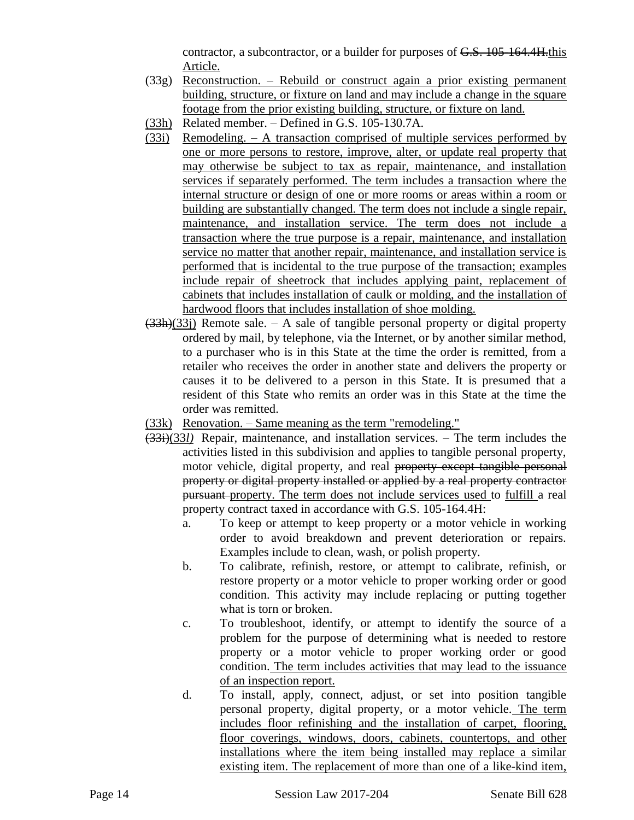contractor, a subcontractor, or a builder for purposes of G.S. 105-164.4H.this Article.

- (33g) Reconstruction. Rebuild or construct again a prior existing permanent building, structure, or fixture on land and may include a change in the square footage from the prior existing building, structure, or fixture on land.
- (33h) Related member. Defined in G.S. 105-130.7A.
- (33i) Remodeling. A transaction comprised of multiple services performed by one or more persons to restore, improve, alter, or update real property that may otherwise be subject to tax as repair, maintenance, and installation services if separately performed. The term includes a transaction where the internal structure or design of one or more rooms or areas within a room or building are substantially changed. The term does not include a single repair, maintenance, and installation service. The term does not include a transaction where the true purpose is a repair, maintenance, and installation service no matter that another repair, maintenance, and installation service is performed that is incidental to the true purpose of the transaction; examples include repair of sheetrock that includes applying paint, replacement of cabinets that includes installation of caulk or molding, and the installation of hardwood floors that includes installation of shoe molding.
- $(33h)(33j)$  Remote sale. A sale of tangible personal property or digital property ordered by mail, by telephone, via the Internet, or by another similar method, to a purchaser who is in this State at the time the order is remitted, from a retailer who receives the order in another state and delivers the property or causes it to be delivered to a person in this State. It is presumed that a resident of this State who remits an order was in this State at the time the order was remitted.
- (33k) Renovation. Same meaning as the term "remodeling."
- (33i)(33*l)* Repair, maintenance, and installation services. The term includes the activities listed in this subdivision and applies to tangible personal property, motor vehicle, digital property, and real property except tangible personal property or digital property installed or applied by a real property contractor pursuant property. The term does not include services used to fulfill a real property contract taxed in accordance with G.S. 105-164.4H:
	- a. To keep or attempt to keep property or a motor vehicle in working order to avoid breakdown and prevent deterioration or repairs. Examples include to clean, wash, or polish property.
	- b. To calibrate, refinish, restore, or attempt to calibrate, refinish, or restore property or a motor vehicle to proper working order or good condition. This activity may include replacing or putting together what is torn or broken.
	- c. To troubleshoot, identify, or attempt to identify the source of a problem for the purpose of determining what is needed to restore property or a motor vehicle to proper working order or good condition. The term includes activities that may lead to the issuance of an inspection report.
	- d. To install, apply, connect, adjust, or set into position tangible personal property, digital property, or a motor vehicle. The term includes floor refinishing and the installation of carpet, flooring, floor coverings, windows, doors, cabinets, countertops, and other installations where the item being installed may replace a similar existing item. The replacement of more than one of a like-kind item,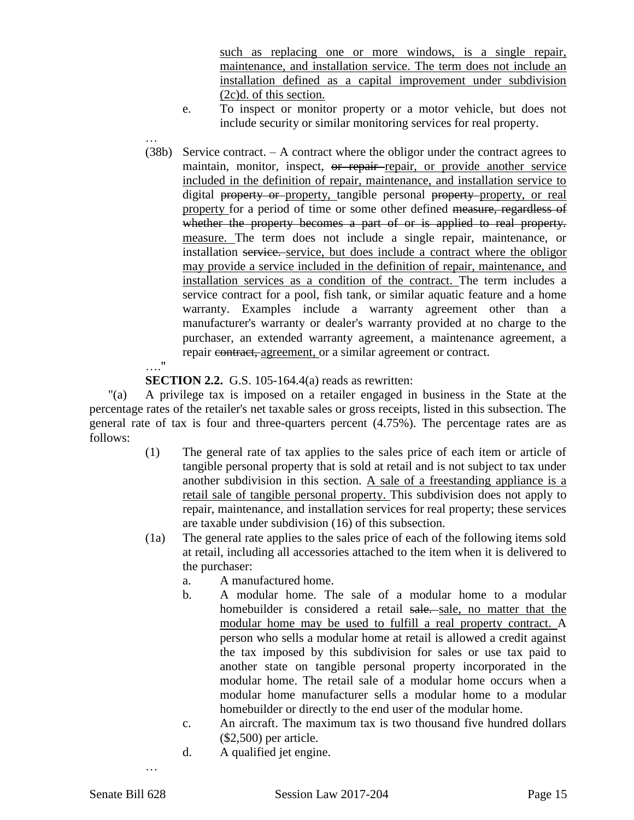such as replacing one or more windows, is a single repair, maintenance, and installation service. The term does not include an installation defined as a capital improvement under subdivision (2c)d. of this section.

- e. To inspect or monitor property or a motor vehicle, but does not include security or similar monitoring services for real property.
- … (38b) Service contract. – A contract where the obligor under the contract agrees to maintain, monitor, inspect, or repair-repair, or provide another service included in the definition of repair, maintenance, and installation service to digital property or property, tangible personal property property, or real property for a period of time or some other defined measure, regardless of whether the property becomes a part of or is applied to real property. measure. The term does not include a single repair, maintenance, or installation service. service, but does include a contract where the obligor may provide a service included in the definition of repair, maintenance, and installation services as a condition of the contract. The term includes a service contract for a pool, fish tank, or similar aquatic feature and a home warranty. Examples include a warranty agreement other than a manufacturer's warranty or dealer's warranty provided at no charge to the purchaser, an extended warranty agreement, a maintenance agreement, a repair contract, agreement, or a similar agreement or contract.

#### …."

**SECTION 2.2.** G.S. 105-164.4(a) reads as rewritten:

"(a) A privilege tax is imposed on a retailer engaged in business in the State at the percentage rates of the retailer's net taxable sales or gross receipts, listed in this subsection. The general rate of tax is four and three-quarters percent (4.75%). The percentage rates are as follows:

- (1) The general rate of tax applies to the sales price of each item or article of tangible personal property that is sold at retail and is not subject to tax under another subdivision in this section. A sale of a freestanding appliance is a retail sale of tangible personal property. This subdivision does not apply to repair, maintenance, and installation services for real property; these services are taxable under subdivision (16) of this subsection.
- (1a) The general rate applies to the sales price of each of the following items sold at retail, including all accessories attached to the item when it is delivered to the purchaser:
	- a. A manufactured home.
	- b. A modular home. The sale of a modular home to a modular homebuilder is considered a retail sale. sale, no matter that the modular home may be used to fulfill a real property contract. A person who sells a modular home at retail is allowed a credit against the tax imposed by this subdivision for sales or use tax paid to another state on tangible personal property incorporated in the modular home. The retail sale of a modular home occurs when a modular home manufacturer sells a modular home to a modular homebuilder or directly to the end user of the modular home.
	- c. An aircraft. The maximum tax is two thousand five hundred dollars (\$2,500) per article.
	- d. A qualified jet engine.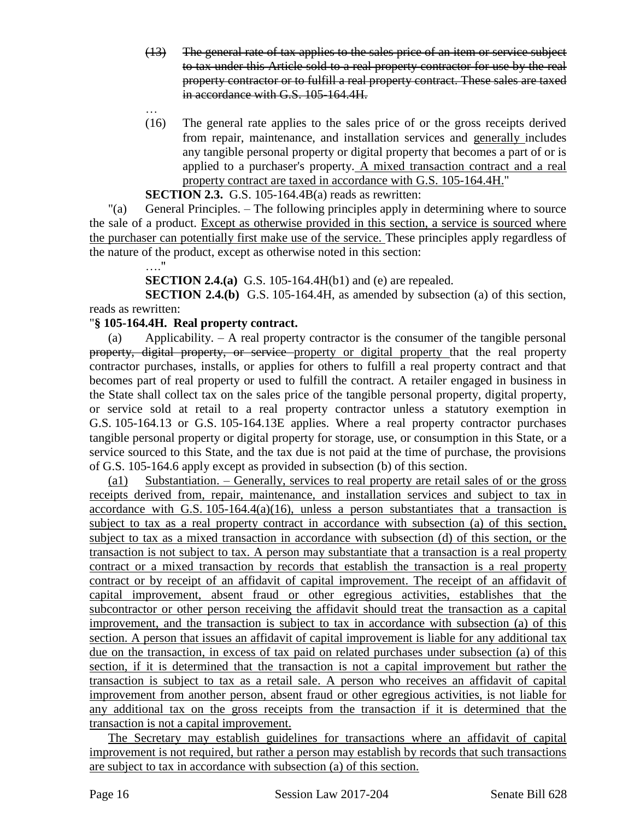- (13) The general rate of tax applies to the sales price of an item or service subject to tax under this Article sold to a real property contractor for use by the real property contractor or to fulfill a real property contract. These sales are taxed in accordance with G.S. 105-164.4H.
- (16) The general rate applies to the sales price of or the gross receipts derived from repair, maintenance, and installation services and generally includes any tangible personal property or digital property that becomes a part of or is applied to a purchaser's property. A mixed transaction contract and a real property contract are taxed in accordance with G.S. 105-164.4H."

**SECTION 2.3.** G.S. 105-164.4B(a) reads as rewritten:

"(a) General Principles. – The following principles apply in determining where to source the sale of a product. Except as otherwise provided in this section, a service is sourced where the purchaser can potentially first make use of the service. These principles apply regardless of the nature of the product, except as otherwise noted in this section:

…."

…

**SECTION 2.4.(a)** G.S. 105-164.4H(b1) and (e) are repealed.

**SECTION 2.4.(b)** G.S. 105-164.4H, as amended by subsection (a) of this section, reads as rewritten:

#### "**§ 105-164.4H. Real property contract.**

(a) Applicability. – A real property contractor is the consumer of the tangible personal property, digital property, or service property or digital property that the real property contractor purchases, installs, or applies for others to fulfill a real property contract and that becomes part of real property or used to fulfill the contract. A retailer engaged in business in the State shall collect tax on the sales price of the tangible personal property, digital property, or service sold at retail to a real property contractor unless a statutory exemption in G.S. 105-164.13 or G.S. 105-164.13E applies. Where a real property contractor purchases tangible personal property or digital property for storage, use, or consumption in this State, or a service sourced to this State, and the tax due is not paid at the time of purchase, the provisions of G.S. 105-164.6 apply except as provided in subsection (b) of this section.

(a1) Substantiation. – Generally, services to real property are retail sales of or the gross receipts derived from, repair, maintenance, and installation services and subject to tax in accordance with G.S. 105-164.4(a)(16), unless a person substantiates that a transaction is subject to tax as a real property contract in accordance with subsection (a) of this section, subject to tax as a mixed transaction in accordance with subsection (d) of this section, or the transaction is not subject to tax. A person may substantiate that a transaction is a real property contract or a mixed transaction by records that establish the transaction is a real property contract or by receipt of an affidavit of capital improvement. The receipt of an affidavit of capital improvement, absent fraud or other egregious activities, establishes that the subcontractor or other person receiving the affidavit should treat the transaction as a capital improvement, and the transaction is subject to tax in accordance with subsection (a) of this section. A person that issues an affidavit of capital improvement is liable for any additional tax due on the transaction, in excess of tax paid on related purchases under subsection (a) of this section, if it is determined that the transaction is not a capital improvement but rather the transaction is subject to tax as a retail sale. A person who receives an affidavit of capital improvement from another person, absent fraud or other egregious activities, is not liable for any additional tax on the gross receipts from the transaction if it is determined that the transaction is not a capital improvement.

The Secretary may establish guidelines for transactions where an affidavit of capital improvement is not required, but rather a person may establish by records that such transactions are subject to tax in accordance with subsection (a) of this section.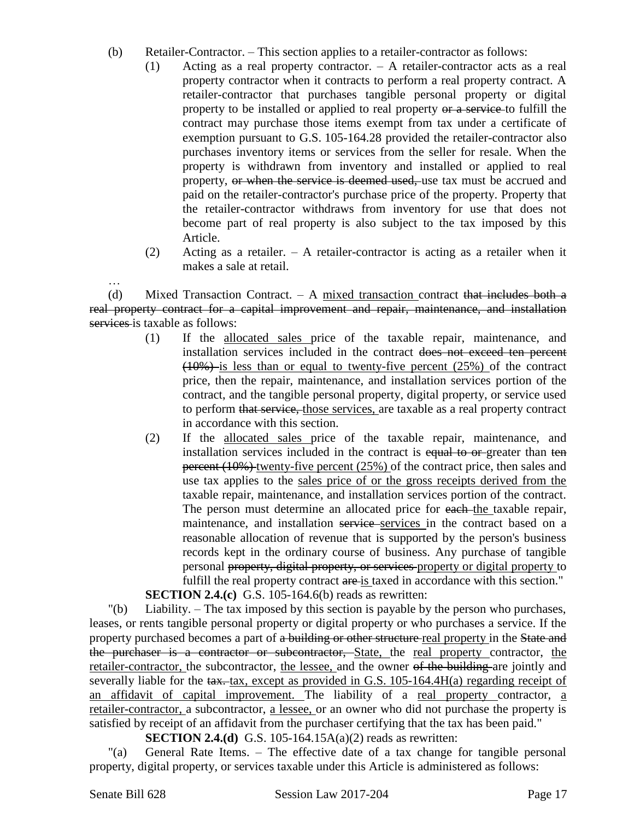- (b) Retailer-Contractor. This section applies to a retailer-contractor as follows:
	- (1) Acting as a real property contractor. A retailer-contractor acts as a real property contractor when it contracts to perform a real property contract. A retailer-contractor that purchases tangible personal property or digital property to be installed or applied to real property or a service to fulfill the contract may purchase those items exempt from tax under a certificate of exemption pursuant to G.S. 105-164.28 provided the retailer-contractor also purchases inventory items or services from the seller for resale. When the property is withdrawn from inventory and installed or applied to real property, or when the service is deemed used, use tax must be accrued and paid on the retailer-contractor's purchase price of the property. Property that the retailer-contractor withdraws from inventory for use that does not become part of real property is also subject to the tax imposed by this Article.
	- (2) Acting as a retailer. A retailer-contractor is acting as a retailer when it makes a sale at retail.

(d) Mixed Transaction Contract.  $-$  A mixed transaction contract that includes both a real property contract for a capital improvement and repair, maintenance, and installation services is taxable as follows:

- (1) If the allocated sales price of the taxable repair, maintenance, and installation services included in the contract does not exceed ten percent  $(10\%)$  is less than or equal to twenty-five percent  $(25\%)$  of the contract price, then the repair, maintenance, and installation services portion of the contract, and the tangible personal property, digital property, or service used to perform that service, those services, are taxable as a real property contract in accordance with this section.
- (2) If the allocated sales price of the taxable repair, maintenance, and installation services included in the contract is equal to or-greater than ten percent (10%) twenty-five percent (25%) of the contract price, then sales and use tax applies to the sales price of or the gross receipts derived from the taxable repair, maintenance, and installation services portion of the contract. The person must determine an allocated price for each the taxable repair, maintenance, and installation service services in the contract based on a reasonable allocation of revenue that is supported by the person's business records kept in the ordinary course of business. Any purchase of tangible personal property, digital property, or services property or digital property to fulfill the real property contract are is taxed in accordance with this section." **SECTION 2.4.(c)** G.S. 105-164.6(b) reads as rewritten:

"(b) Liability. – The tax imposed by this section is payable by the person who purchases, leases, or rents tangible personal property or digital property or who purchases a service. If the property purchased becomes a part of a building or other structure real property in the State and the purchaser is a contractor or subcontractor, State, the real property contractor, the retailer-contractor, the subcontractor, the lessee, and the owner of the building are jointly and severally liable for the tax. tax, except as provided in G.S. 105-164.4H(a) regarding receipt of an affidavit of capital improvement. The liability of a real property contractor, a retailer-contractor, a subcontractor, a lessee, or an owner who did not purchase the property is satisfied by receipt of an affidavit from the purchaser certifying that the tax has been paid."

**SECTION 2.4.(d)** G.S. 105-164.15A(a)(2) reads as rewritten:

"(a) General Rate Items. – The effective date of a tax change for tangible personal property, digital property, or services taxable under this Article is administered as follows: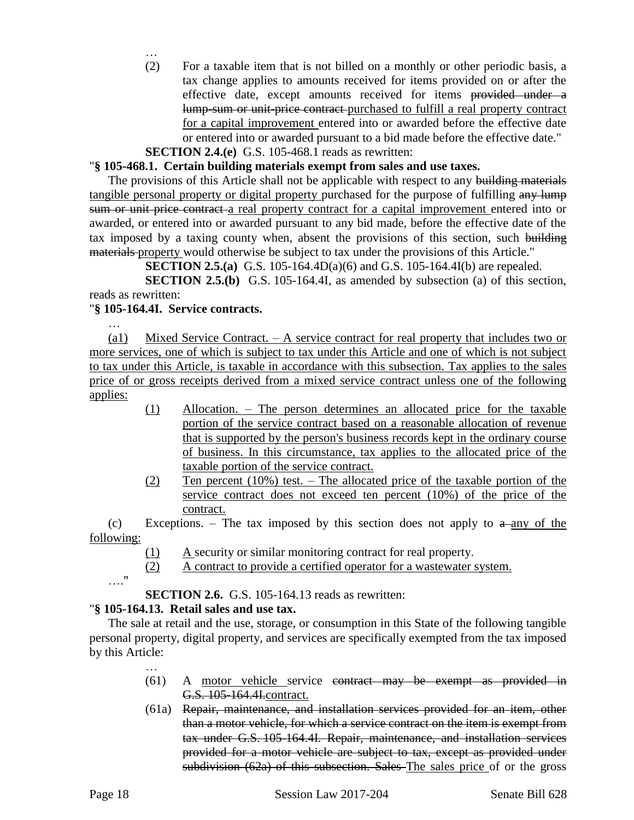… (2) For a taxable item that is not billed on a monthly or other periodic basis, a tax change applies to amounts received for items provided on or after the effective date, except amounts received for items provided under a lump-sum or unit-price contract purchased to fulfill a real property contract for a capital improvement entered into or awarded before the effective date or entered into or awarded pursuant to a bid made before the effective date."

#### **SECTION 2.4.(e)** G.S. 105-468.1 reads as rewritten:

#### "**§ 105-468.1. Certain building materials exempt from sales and use taxes.**

The provisions of this Article shall not be applicable with respect to any building materials tangible personal property or digital property purchased for the purpose of fulfilling any lump sum or unit price contract a real property contract for a capital improvement entered into or awarded, or entered into or awarded pursuant to any bid made, before the effective date of the tax imposed by a taxing county when, absent the provisions of this section, such building materials property would otherwise be subject to tax under the provisions of this Article."

**SECTION 2.5.(a)** G.S. 105-164.4D(a)(6) and G.S. 105-164.4I(b) are repealed.

**SECTION 2.5.(b)** G.S. 105-164.4I, as amended by subsection (a) of this section, reads as rewritten:

#### "**§ 105-164.4I. Service contracts.**

… (a1) Mixed Service Contract. – A service contract for real property that includes two or more services, one of which is subject to tax under this Article and one of which is not subject to tax under this Article, is taxable in accordance with this subsection. Tax applies to the sales price of or gross receipts derived from a mixed service contract unless one of the following applies:

- (1) Allocation. The person determines an allocated price for the taxable portion of the service contract based on a reasonable allocation of revenue that is supported by the person's business records kept in the ordinary course of business. In this circumstance, tax applies to the allocated price of the taxable portion of the service contract.
- (2) Ten percent (10%) test. The allocated price of the taxable portion of the service contract does not exceed ten percent (10%) of the price of the contract.

(c) Exceptions. – The tax imposed by this section does not apply to  $a$ -any of the following:

- (1) A security or similar monitoring contract for real property.
- (2) A contract to provide a certified operator for a wastewater system.

```
…."
```
**SECTION 2.6.** G.S. 105-164.13 reads as rewritten:

# "**§ 105-164.13. Retail sales and use tax.**

The sale at retail and the use, storage, or consumption in this State of the following tangible personal property, digital property, and services are specifically exempted from the tax imposed by this Article:

- … (61) A motor vehicle service contract may be exempt as provided in G.S. 105-164.4I.contract.
- (61a) Repair, maintenance, and installation services provided for an item, other than a motor vehicle, for which a service contract on the item is exempt from tax under G.S. 105-164.4I. Repair, maintenance, and installation services provided for a motor vehicle are subject to tax, except as provided under subdivision (62a) of this subsection. Sales The sales price of or the gross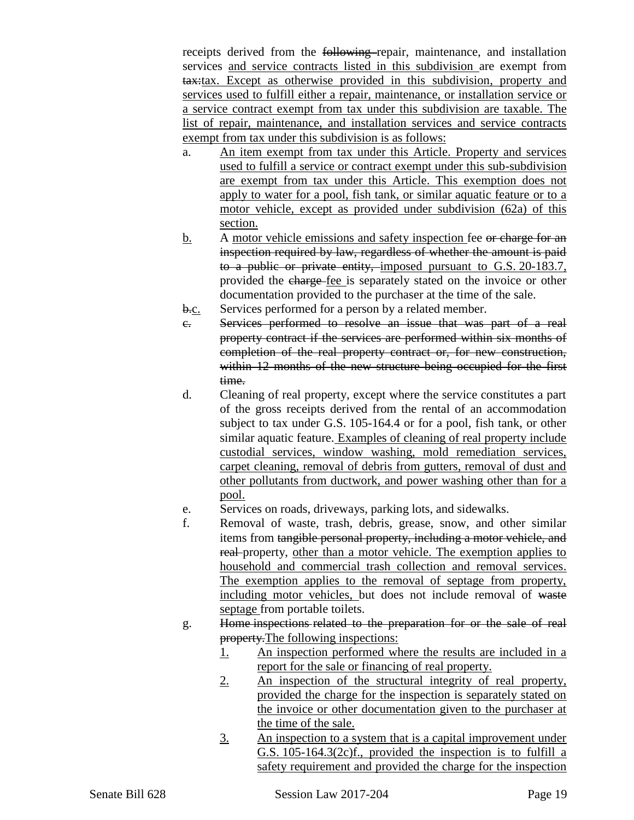receipts derived from the following repair, maintenance, and installation services and service contracts listed in this subdivision are exempt from tax:tax. Except as otherwise provided in this subdivision, property and services used to fulfill either a repair, maintenance, or installation service or a service contract exempt from tax under this subdivision are taxable. The list of repair, maintenance, and installation services and service contracts exempt from tax under this subdivision is as follows:

- a. An item exempt from tax under this Article. Property and services used to fulfill a service or contract exempt under this sub-subdivision are exempt from tax under this Article. This exemption does not apply to water for a pool, fish tank, or similar aquatic feature or to a motor vehicle, except as provided under subdivision (62a) of this section.
- b. A motor vehicle emissions and safety inspection fee or charge for an inspection required by law, regardless of whether the amount is paid to a public or private entity, imposed pursuant to G.S. 20-183.7, provided the charge fee is separately stated on the invoice or other documentation provided to the purchaser at the time of the sale.
- b.c. Services performed for a person by a related member.
- c. Services performed to resolve an issue that was part of a real property contract if the services are performed within six months of completion of the real property contract or, for new construction, within 12 months of the new structure being occupied for the first time.
- d. Cleaning of real property, except where the service constitutes a part of the gross receipts derived from the rental of an accommodation subject to tax under G.S. 105-164.4 or for a pool, fish tank, or other similar aquatic feature. Examples of cleaning of real property include custodial services, window washing, mold remediation services, carpet cleaning, removal of debris from gutters, removal of dust and other pollutants from ductwork, and power washing other than for a pool.
- e. Services on roads, driveways, parking lots, and sidewalks.
- f. Removal of waste, trash, debris, grease, snow, and other similar items from tangible personal property, including a motor vehicle, and real property, other than a motor vehicle. The exemption applies to household and commercial trash collection and removal services. The exemption applies to the removal of septage from property, including motor vehicles, but does not include removal of waste septage from portable toilets.
- g. Home inspections related to the preparation for or the sale of real property. The following inspections:
	- 1. An inspection performed where the results are included in a report for the sale or financing of real property.
	- 2. An inspection of the structural integrity of real property, provided the charge for the inspection is separately stated on the invoice or other documentation given to the purchaser at the time of the sale.
	- 3. An inspection to a system that is a capital improvement under G.S. 105-164.3(2c)f., provided the inspection is to fulfill a safety requirement and provided the charge for the inspection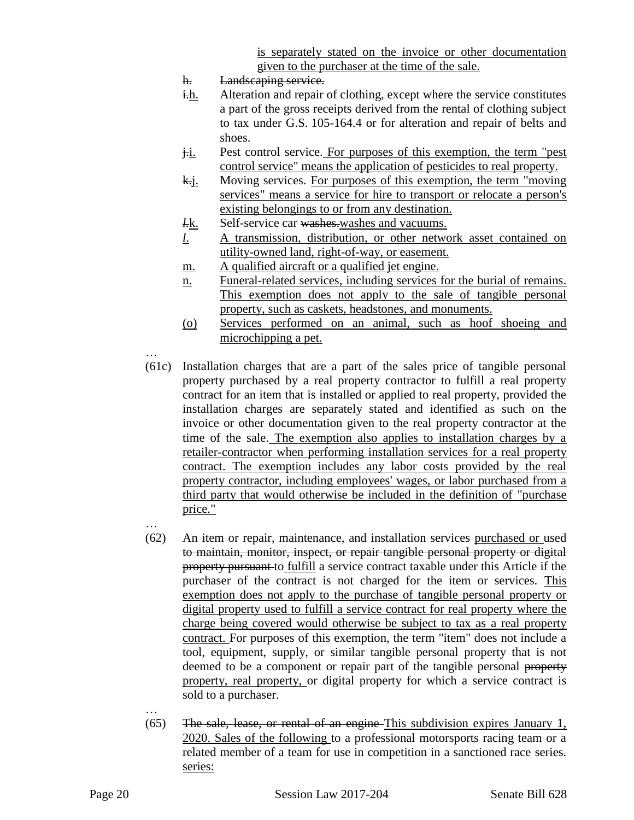is separately stated on the invoice or other documentation given to the purchaser at the time of the sale.

- h. Landscaping service.
- i.h. Alteration and repair of clothing, except where the service constitutes a part of the gross receipts derived from the rental of clothing subject to tax under G.S. 105-164.4 or for alteration and repair of belts and shoes.
- j.i. Pest control service. For purposes of this exemption, the term "pest" control service" means the application of pesticides to real property.
- k.j. Moving services. For purposes of this exemption, the term "moving" services" means a service for hire to transport or relocate a person's existing belongings to or from any destination.
- *l.*k. Self-service car washes.washes and vacuums.
- *l*. A transmission, distribution, or other network asset contained on utility-owned land, right-of-way, or easement.
- m. A qualified aircraft or a qualified jet engine.
- n. Funeral-related services, including services for the burial of remains. This exemption does not apply to the sale of tangible personal property, such as caskets, headstones, and monuments.
- (o) Services performed on an animal, such as hoof shoeing and microchipping a pet.
- … (61c) Installation charges that are a part of the sales price of tangible personal property purchased by a real property contractor to fulfill a real property contract for an item that is installed or applied to real property, provided the installation charges are separately stated and identified as such on the invoice or other documentation given to the real property contractor at the time of the sale. The exemption also applies to installation charges by a retailer-contractor when performing installation services for a real property contract. The exemption includes any labor costs provided by the real property contractor, including employees' wages, or labor purchased from a third party that would otherwise be included in the definition of "purchase price." …
- (62) An item or repair, maintenance, and installation services purchased or used to maintain, monitor, inspect, or repair tangible personal property or digital property pursuant to fulfill a service contract taxable under this Article if the purchaser of the contract is not charged for the item or services. This exemption does not apply to the purchase of tangible personal property or digital property used to fulfill a service contract for real property where the charge being covered would otherwise be subject to tax as a real property contract. For purposes of this exemption, the term "item" does not include a tool, equipment, supply, or similar tangible personal property that is not deemed to be a component or repair part of the tangible personal property property, real property, or digital property for which a service contract is sold to a purchaser.
- $(65)$  The sale, lease, or rental of an engine This subdivision expires January 1, 2020. Sales of the following to a professional motorsports racing team or a related member of a team for use in competition in a sanctioned race series. series: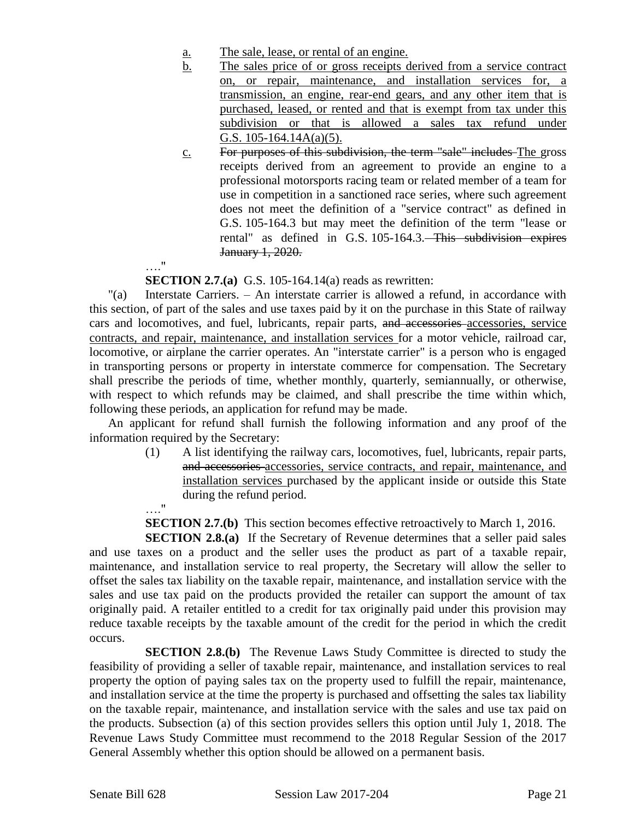- a. The sale, lease, or rental of an engine.
- b. The sales price of or gross receipts derived from a service contract on, or repair, maintenance, and installation services for, a transmission, an engine, rear-end gears, and any other item that is purchased, leased, or rented and that is exempt from tax under this subdivision or that is allowed a sales tax refund under G.S. 105-164.14A(a)(5).
- c. For purposes of this subdivision, the term "sale" includes The gross receipts derived from an agreement to provide an engine to a professional motorsports racing team or related member of a team for use in competition in a sanctioned race series, where such agreement does not meet the definition of a "service contract" as defined in G.S. 105-164.3 but may meet the definition of the term "lease or rental" as defined in G.S. 105-164.3. This subdivision expires January 1, 2020.

**SECTION 2.7.(a)** G.S. 105-164.14(a) reads as rewritten:

"(a) Interstate Carriers. – An interstate carrier is allowed a refund, in accordance with this section, of part of the sales and use taxes paid by it on the purchase in this State of railway cars and locomotives, and fuel, lubricants, repair parts, and accessories accessories, service contracts, and repair, maintenance, and installation services for a motor vehicle, railroad car, locomotive, or airplane the carrier operates. An "interstate carrier" is a person who is engaged in transporting persons or property in interstate commerce for compensation. The Secretary shall prescribe the periods of time, whether monthly, quarterly, semiannually, or otherwise, with respect to which refunds may be claimed, and shall prescribe the time within which, following these periods, an application for refund may be made.

An applicant for refund shall furnish the following information and any proof of the information required by the Secretary:

> (1) A list identifying the railway cars, locomotives, fuel, lubricants, repair parts, and accessories accessories, service contracts, and repair, maintenance, and installation services purchased by the applicant inside or outside this State during the refund period.

**SECTION 2.7.(b)** This section becomes effective retroactively to March 1, 2016.

**SECTION 2.8.(a)** If the Secretary of Revenue determines that a seller paid sales and use taxes on a product and the seller uses the product as part of a taxable repair, maintenance, and installation service to real property, the Secretary will allow the seller to offset the sales tax liability on the taxable repair, maintenance, and installation service with the sales and use tax paid on the products provided the retailer can support the amount of tax originally paid. A retailer entitled to a credit for tax originally paid under this provision may reduce taxable receipts by the taxable amount of the credit for the period in which the credit occurs.

**SECTION 2.8.(b)** The Revenue Laws Study Committee is directed to study the feasibility of providing a seller of taxable repair, maintenance, and installation services to real property the option of paying sales tax on the property used to fulfill the repair, maintenance, and installation service at the time the property is purchased and offsetting the sales tax liability on the taxable repair, maintenance, and installation service with the sales and use tax paid on the products. Subsection (a) of this section provides sellers this option until July 1, 2018. The Revenue Laws Study Committee must recommend to the 2018 Regular Session of the 2017 General Assembly whether this option should be allowed on a permanent basis.

…."

…."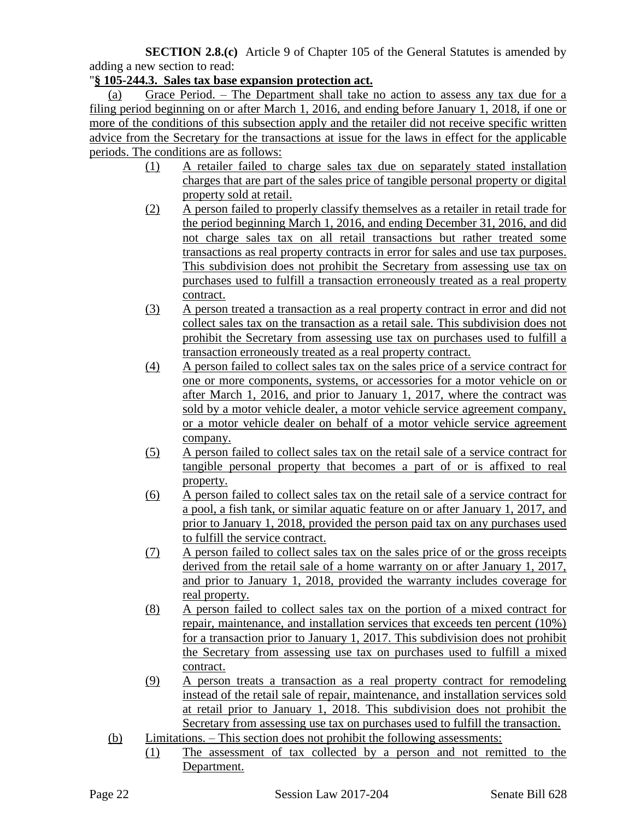**SECTION 2.8.(c)** Article 9 of Chapter 105 of the General Statutes is amended by adding a new section to read:

### "**§ 105-244.3. Sales tax base expansion protection act.**

(a) Grace Period. – The Department shall take no action to assess any tax due for a filing period beginning on or after March 1, 2016, and ending before January 1, 2018, if one or more of the conditions of this subsection apply and the retailer did not receive specific written advice from the Secretary for the transactions at issue for the laws in effect for the applicable periods. The conditions are as follows:

- (1) A retailer failed to charge sales tax due on separately stated installation charges that are part of the sales price of tangible personal property or digital property sold at retail.
- (2) A person failed to properly classify themselves as a retailer in retail trade for the period beginning March 1, 2016, and ending December 31, 2016, and did not charge sales tax on all retail transactions but rather treated some transactions as real property contracts in error for sales and use tax purposes. This subdivision does not prohibit the Secretary from assessing use tax on purchases used to fulfill a transaction erroneously treated as a real property contract.
- (3) A person treated a transaction as a real property contract in error and did not collect sales tax on the transaction as a retail sale. This subdivision does not prohibit the Secretary from assessing use tax on purchases used to fulfill a transaction erroneously treated as a real property contract.
- (4) A person failed to collect sales tax on the sales price of a service contract for one or more components, systems, or accessories for a motor vehicle on or after March 1, 2016, and prior to January 1, 2017, where the contract was sold by a motor vehicle dealer, a motor vehicle service agreement company, or a motor vehicle dealer on behalf of a motor vehicle service agreement company.
- (5) A person failed to collect sales tax on the retail sale of a service contract for tangible personal property that becomes a part of or is affixed to real property.
- (6) A person failed to collect sales tax on the retail sale of a service contract for a pool, a fish tank, or similar aquatic feature on or after January 1, 2017, and prior to January 1, 2018, provided the person paid tax on any purchases used to fulfill the service contract.
- (7) A person failed to collect sales tax on the sales price of or the gross receipts derived from the retail sale of a home warranty on or after January 1, 2017, and prior to January 1, 2018, provided the warranty includes coverage for real property.
- (8) A person failed to collect sales tax on the portion of a mixed contract for repair, maintenance, and installation services that exceeds ten percent (10%) for a transaction prior to January 1, 2017. This subdivision does not prohibit the Secretary from assessing use tax on purchases used to fulfill a mixed contract.
- (9) A person treats a transaction as a real property contract for remodeling instead of the retail sale of repair, maintenance, and installation services sold at retail prior to January 1, 2018. This subdivision does not prohibit the Secretary from assessing use tax on purchases used to fulfill the transaction.
- (b) Limitations. This section does not prohibit the following assessments:
	- (1) The assessment of tax collected by a person and not remitted to the Department.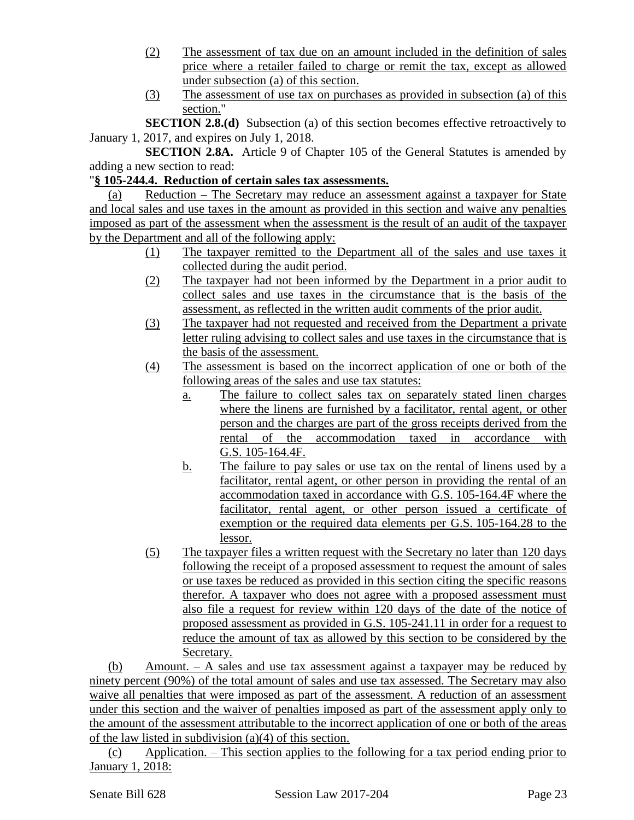- (2) The assessment of tax due on an amount included in the definition of sales price where a retailer failed to charge or remit the tax, except as allowed under subsection (a) of this section.
- (3) The assessment of use tax on purchases as provided in subsection (a) of this section."

**SECTION 2.8.(d)** Subsection (a) of this section becomes effective retroactively to January 1, 2017, and expires on July 1, 2018.

**SECTION 2.8A.** Article 9 of Chapter 105 of the General Statutes is amended by adding a new section to read:

# "**§ 105-244.4. Reduction of certain sales tax assessments.**

(a) Reduction – The Secretary may reduce an assessment against a taxpayer for State and local sales and use taxes in the amount as provided in this section and waive any penalties imposed as part of the assessment when the assessment is the result of an audit of the taxpayer by the Department and all of the following apply:

- (1) The taxpayer remitted to the Department all of the sales and use taxes it collected during the audit period.
- (2) The taxpayer had not been informed by the Department in a prior audit to collect sales and use taxes in the circumstance that is the basis of the assessment, as reflected in the written audit comments of the prior audit.
- (3) The taxpayer had not requested and received from the Department a private letter ruling advising to collect sales and use taxes in the circumstance that is the basis of the assessment.
- (4) The assessment is based on the incorrect application of one or both of the following areas of the sales and use tax statutes:
	- a. The failure to collect sales tax on separately stated linen charges where the linens are furnished by a facilitator, rental agent, or other person and the charges are part of the gross receipts derived from the rental of the accommodation taxed in accordance with G.S. 105-164.4F.
	- b. The failure to pay sales or use tax on the rental of linens used by a facilitator, rental agent, or other person in providing the rental of an accommodation taxed in accordance with G.S. 105-164.4F where the facilitator, rental agent, or other person issued a certificate of exemption or the required data elements per G.S. 105-164.28 to the lessor.
- (5) The taxpayer files a written request with the Secretary no later than 120 days following the receipt of a proposed assessment to request the amount of sales or use taxes be reduced as provided in this section citing the specific reasons therefor. A taxpayer who does not agree with a proposed assessment must also file a request for review within 120 days of the date of the notice of proposed assessment as provided in G.S. 105-241.11 in order for a request to reduce the amount of tax as allowed by this section to be considered by the Secretary.

(b) Amount. – A sales and use tax assessment against a taxpayer may be reduced by ninety percent (90%) of the total amount of sales and use tax assessed. The Secretary may also waive all penalties that were imposed as part of the assessment. A reduction of an assessment under this section and the waiver of penalties imposed as part of the assessment apply only to the amount of the assessment attributable to the incorrect application of one or both of the areas of the law listed in subdivision (a)(4) of this section.

(c) Application. – This section applies to the following for a tax period ending prior to January 1, 2018: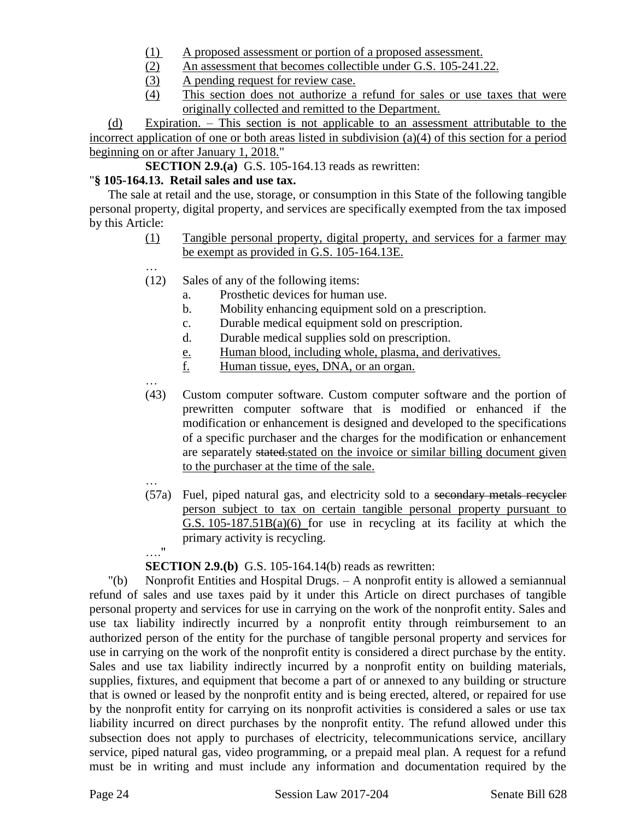- (1) A proposed assessment or portion of a proposed assessment.
- (2) An assessment that becomes collectible under G.S. 105-241.22.
- (3) A pending request for review case.
- (4) This section does not authorize a refund for sales or use taxes that were originally collected and remitted to the Department.

(d) Expiration. – This section is not applicable to an assessment attributable to the incorrect application of one or both areas listed in subdivision (a)(4) of this section for a period beginning on or after January 1, 2018."

**SECTION 2.9.(a)** G.S. 105-164.13 reads as rewritten:

# "**§ 105-164.13. Retail sales and use tax.**

…

The sale at retail and the use, storage, or consumption in this State of the following tangible personal property, digital property, and services are specifically exempted from the tax imposed by this Article:

- (1) Tangible personal property, digital property, and services for a farmer may be exempt as provided in G.S. 105-164.13E.
- (12) Sales of any of the following items:
	- a. Prosthetic devices for human use.
	- b. Mobility enhancing equipment sold on a prescription.
	- c. Durable medical equipment sold on prescription.
	- d. Durable medical supplies sold on prescription.
	- e. Human blood, including whole, plasma, and derivatives.
	- f. Human tissue, eyes, DNA, or an organ.
- … (43) Custom computer software. Custom computer software and the portion of prewritten computer software that is modified or enhanced if the modification or enhancement is designed and developed to the specifications of a specific purchaser and the charges for the modification or enhancement are separately stated.stated on the invoice or similar billing document given to the purchaser at the time of the sale.
- … (57a) Fuel, piped natural gas, and electricity sold to a secondary metals recycler person subject to tax on certain tangible personal property pursuant to G.S.  $105-187.51B(a)(6)$  for use in recycling at its facility at which the primary activity is recycling. …."

**SECTION 2.9.(b)** G.S. 105-164.14(b) reads as rewritten:

"(b) Nonprofit Entities and Hospital Drugs. – A nonprofit entity is allowed a semiannual refund of sales and use taxes paid by it under this Article on direct purchases of tangible personal property and services for use in carrying on the work of the nonprofit entity. Sales and use tax liability indirectly incurred by a nonprofit entity through reimbursement to an authorized person of the entity for the purchase of tangible personal property and services for use in carrying on the work of the nonprofit entity is considered a direct purchase by the entity. Sales and use tax liability indirectly incurred by a nonprofit entity on building materials, supplies, fixtures, and equipment that become a part of or annexed to any building or structure that is owned or leased by the nonprofit entity and is being erected, altered, or repaired for use by the nonprofit entity for carrying on its nonprofit activities is considered a sales or use tax liability incurred on direct purchases by the nonprofit entity. The refund allowed under this subsection does not apply to purchases of electricity, telecommunications service, ancillary service, piped natural gas, video programming, or a prepaid meal plan. A request for a refund must be in writing and must include any information and documentation required by the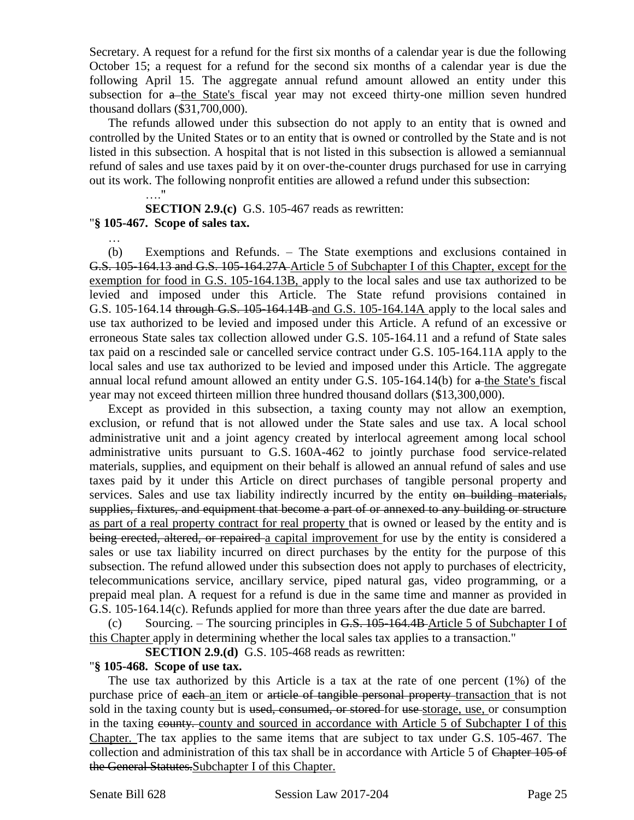Secretary. A request for a refund for the first six months of a calendar year is due the following October 15; a request for a refund for the second six months of a calendar year is due the following April 15. The aggregate annual refund amount allowed an entity under this subsection for a the State's fiscal year may not exceed thirty-one million seven hundred thousand dollars (\$31,700,000).

The refunds allowed under this subsection do not apply to an entity that is owned and controlled by the United States or to an entity that is owned or controlled by the State and is not listed in this subsection. A hospital that is not listed in this subsection is allowed a semiannual refund of sales and use taxes paid by it on over-the-counter drugs purchased for use in carrying out its work. The following nonprofit entities are allowed a refund under this subsection:

 $\mathbf{u}$ **SECTION 2.9.(c)** G.S. 105-467 reads as rewritten: "**§ 105-467. Scope of sales tax.**

…

(b) Exemptions and Refunds. – The State exemptions and exclusions contained in G.S. 105-164.13 and G.S. 105-164.27A Article 5 of Subchapter I of this Chapter, except for the exemption for food in G.S. 105-164.13B, apply to the local sales and use tax authorized to be levied and imposed under this Article. The State refund provisions contained in G.S. 105-164.14 through G.S. 105-164.14B and G.S. 105-164.14A apply to the local sales and use tax authorized to be levied and imposed under this Article. A refund of an excessive or erroneous State sales tax collection allowed under G.S. 105-164.11 and a refund of State sales tax paid on a rescinded sale or cancelled service contract under G.S. 105-164.11A apply to the local sales and use tax authorized to be levied and imposed under this Article. The aggregate annual local refund amount allowed an entity under G.S. 105-164.14(b) for a the State's fiscal year may not exceed thirteen million three hundred thousand dollars (\$13,300,000).

Except as provided in this subsection, a taxing county may not allow an exemption, exclusion, or refund that is not allowed under the State sales and use tax. A local school administrative unit and a joint agency created by interlocal agreement among local school administrative units pursuant to G.S. 160A-462 to jointly purchase food service-related materials, supplies, and equipment on their behalf is allowed an annual refund of sales and use taxes paid by it under this Article on direct purchases of tangible personal property and services. Sales and use tax liability indirectly incurred by the entity on building materials, supplies, fixtures, and equipment that become a part of or annexed to any building or structure as part of a real property contract for real property that is owned or leased by the entity and is being erected, altered, or repaired a capital improvement for use by the entity is considered a sales or use tax liability incurred on direct purchases by the entity for the purpose of this subsection. The refund allowed under this subsection does not apply to purchases of electricity, telecommunications service, ancillary service, piped natural gas, video programming, or a prepaid meal plan. A request for a refund is due in the same time and manner as provided in G.S. 105-164.14(c). Refunds applied for more than three years after the due date are barred.

(c) Sourcing. – The sourcing principles in  $G.S. 105-164.4B$  Article 5 of Subchapter I of this Chapter apply in determining whether the local sales tax applies to a transaction."

**SECTION 2.9.(d)** G.S. 105-468 reads as rewritten:

#### "**§ 105-468. Scope of use tax.**

The use tax authorized by this Article is a tax at the rate of one percent (1%) of the purchase price of each-an item or article of tangible personal property transaction that is not sold in the taxing county but is <del>used, consumed, or stored</del> for use-storage, use, or consumption in the taxing county and sourced in accordance with Article 5 of Subchapter I of this Chapter. The tax applies to the same items that are subject to tax under G.S. 105-467. The collection and administration of this tax shall be in accordance with Article 5 of Chapter 105 of the General Statutes.Subchapter I of this Chapter.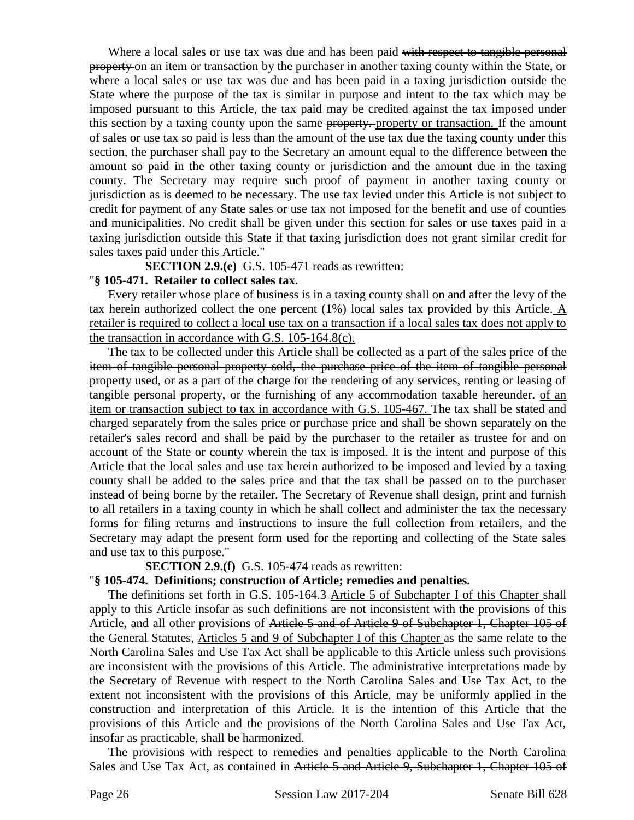Where a local sales or use tax was due and has been paid with respect to tangible personal property on an item or transaction by the purchaser in another taxing county within the State, or where a local sales or use tax was due and has been paid in a taxing jurisdiction outside the State where the purpose of the tax is similar in purpose and intent to the tax which may be imposed pursuant to this Article, the tax paid may be credited against the tax imposed under this section by a taxing county upon the same property. property or transaction. If the amount of sales or use tax so paid is less than the amount of the use tax due the taxing county under this section, the purchaser shall pay to the Secretary an amount equal to the difference between the amount so paid in the other taxing county or jurisdiction and the amount due in the taxing county. The Secretary may require such proof of payment in another taxing county or jurisdiction as is deemed to be necessary. The use tax levied under this Article is not subject to credit for payment of any State sales or use tax not imposed for the benefit and use of counties and municipalities. No credit shall be given under this section for sales or use taxes paid in a taxing jurisdiction outside this State if that taxing jurisdiction does not grant similar credit for sales taxes paid under this Article."

**SECTION 2.9.(e)** G.S. 105-471 reads as rewritten:

### "**§ 105-471. Retailer to collect sales tax.**

Every retailer whose place of business is in a taxing county shall on and after the levy of the tax herein authorized collect the one percent (1%) local sales tax provided by this Article. A retailer is required to collect a local use tax on a transaction if a local sales tax does not apply to the transaction in accordance with G.S. 105-164.8(c).

The tax to be collected under this Article shall be collected as a part of the sales price of the item of tangible personal property sold, the purchase price of the item of tangible personal property used, or as a part of the charge for the rendering of any services, renting or leasing of tangible personal property, or the furnishing of any accommodation taxable hereunder. of an item or transaction subject to tax in accordance with G.S. 105-467. The tax shall be stated and charged separately from the sales price or purchase price and shall be shown separately on the retailer's sales record and shall be paid by the purchaser to the retailer as trustee for and on account of the State or county wherein the tax is imposed. It is the intent and purpose of this Article that the local sales and use tax herein authorized to be imposed and levied by a taxing county shall be added to the sales price and that the tax shall be passed on to the purchaser instead of being borne by the retailer. The Secretary of Revenue shall design, print and furnish to all retailers in a taxing county in which he shall collect and administer the tax the necessary forms for filing returns and instructions to insure the full collection from retailers, and the Secretary may adapt the present form used for the reporting and collecting of the State sales and use tax to this purpose."

**SECTION 2.9.(f)** G.S. 105-474 reads as rewritten:

# "**§ 105-474. Definitions; construction of Article; remedies and penalties.**

The definitions set forth in G.S. 105-164.3 Article 5 of Subchapter I of this Chapter shall apply to this Article insofar as such definitions are not inconsistent with the provisions of this Article, and all other provisions of Article 5 and of Article 9 of Subchapter 1, Chapter 105 of the General Statutes, Articles 5 and 9 of Subchapter I of this Chapter as the same relate to the North Carolina Sales and Use Tax Act shall be applicable to this Article unless such provisions are inconsistent with the provisions of this Article. The administrative interpretations made by the Secretary of Revenue with respect to the North Carolina Sales and Use Tax Act, to the extent not inconsistent with the provisions of this Article, may be uniformly applied in the construction and interpretation of this Article. It is the intention of this Article that the provisions of this Article and the provisions of the North Carolina Sales and Use Tax Act, insofar as practicable, shall be harmonized.

The provisions with respect to remedies and penalties applicable to the North Carolina Sales and Use Tax Act, as contained in Article 5 and Article 9, Subchapter 1, Chapter 105 of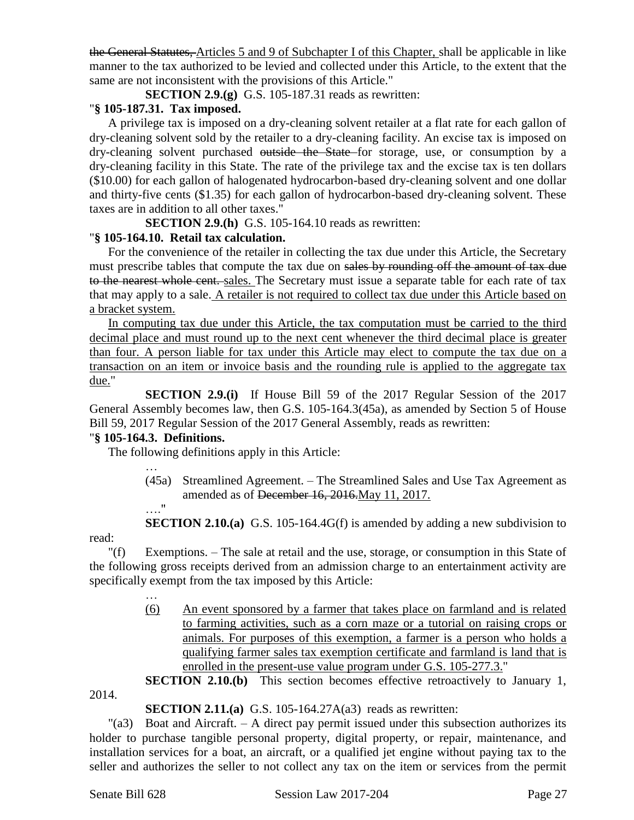the General Statutes, Articles 5 and 9 of Subchapter I of this Chapter, shall be applicable in like manner to the tax authorized to be levied and collected under this Article, to the extent that the same are not inconsistent with the provisions of this Article."

**SECTION 2.9.(g)** G.S. 105-187.31 reads as rewritten:

### "**§ 105-187.31. Tax imposed.**

A privilege tax is imposed on a dry-cleaning solvent retailer at a flat rate for each gallon of dry-cleaning solvent sold by the retailer to a dry-cleaning facility. An excise tax is imposed on dry-cleaning solvent purchased outside the State for storage, use, or consumption by a dry-cleaning facility in this State. The rate of the privilege tax and the excise tax is ten dollars (\$10.00) for each gallon of halogenated hydrocarbon-based dry-cleaning solvent and one dollar and thirty-five cents (\$1.35) for each gallon of hydrocarbon-based dry-cleaning solvent. These taxes are in addition to all other taxes."

**SECTION 2.9.(h)** G.S. 105-164.10 reads as rewritten:

### "**§ 105-164.10. Retail tax calculation.**

For the convenience of the retailer in collecting the tax due under this Article, the Secretary must prescribe tables that compute the tax due on sales by rounding off the amount of tax due to the nearest whole cent. sales. The Secretary must issue a separate table for each rate of tax that may apply to a sale. A retailer is not required to collect tax due under this Article based on a bracket system.

In computing tax due under this Article, the tax computation must be carried to the third decimal place and must round up to the next cent whenever the third decimal place is greater than four. A person liable for tax under this Article may elect to compute the tax due on a transaction on an item or invoice basis and the rounding rule is applied to the aggregate tax due."

**SECTION 2.9.(i)** If House Bill 59 of the 2017 Regular Session of the 2017 General Assembly becomes law, then G.S. 105-164.3(45a), as amended by Section 5 of House Bill 59, 2017 Regular Session of the 2017 General Assembly, reads as rewritten:

#### "**§ 105-164.3. Definitions.**

…

…

The following definitions apply in this Article:

(45a) Streamlined Agreement. – The Streamlined Sales and Use Tax Agreement as amended as of December 16, 2016. May 11, 2017.

…." **SECTION 2.10.(a)** G.S. 105-164.4G(f) is amended by adding a new subdivision to

read:

"(f) Exemptions. – The sale at retail and the use, storage, or consumption in this State of the following gross receipts derived from an admission charge to an entertainment activity are specifically exempt from the tax imposed by this Article:

> (6) An event sponsored by a farmer that takes place on farmland and is related to farming activities, such as a corn maze or a tutorial on raising crops or animals. For purposes of this exemption, a farmer is a person who holds a qualifying farmer sales tax exemption certificate and farmland is land that is enrolled in the present-use value program under G.S. 105-277.3."

> **SECTION 2.10.(b)** This section becomes effective retroactively to January 1,

2014.

#### **SECTION 2.11.(a)** G.S. 105-164.27A(a3) reads as rewritten:

"(a3) Boat and Aircraft. – A direct pay permit issued under this subsection authorizes its holder to purchase tangible personal property, digital property, or repair, maintenance, and installation services for a boat, an aircraft, or a qualified jet engine without paying tax to the seller and authorizes the seller to not collect any tax on the item or services from the permit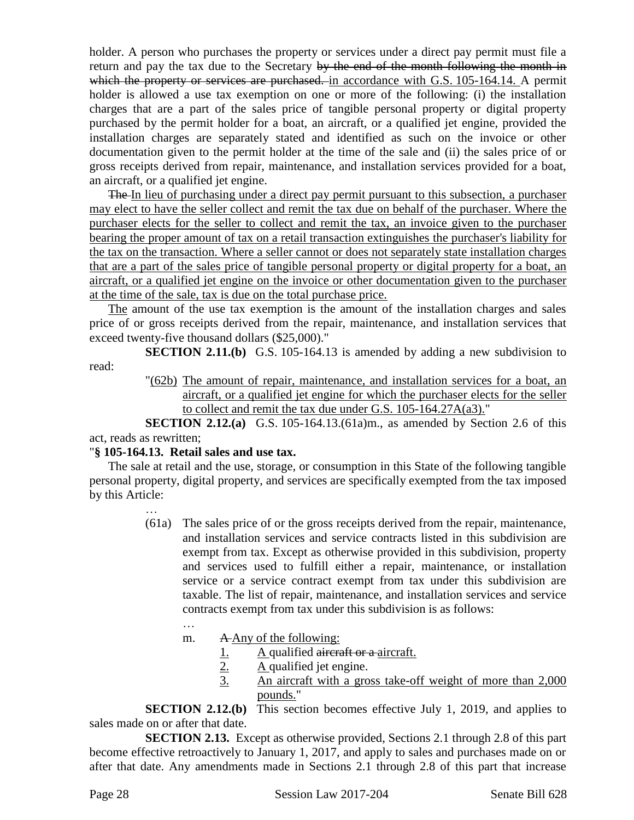holder. A person who purchases the property or services under a direct pay permit must file a return and pay the tax due to the Secretary by the end of the month following the month in which the property or services are purchased, in accordance with G.S. 105-164.14. A permit holder is allowed a use tax exemption on one or more of the following: (i) the installation charges that are a part of the sales price of tangible personal property or digital property purchased by the permit holder for a boat, an aircraft, or a qualified jet engine, provided the installation charges are separately stated and identified as such on the invoice or other documentation given to the permit holder at the time of the sale and (ii) the sales price of or gross receipts derived from repair, maintenance, and installation services provided for a boat, an aircraft, or a qualified jet engine.

The In lieu of purchasing under a direct pay permit pursuant to this subsection, a purchaser may elect to have the seller collect and remit the tax due on behalf of the purchaser. Where the purchaser elects for the seller to collect and remit the tax, an invoice given to the purchaser bearing the proper amount of tax on a retail transaction extinguishes the purchaser's liability for the tax on the transaction. Where a seller cannot or does not separately state installation charges that are a part of the sales price of tangible personal property or digital property for a boat, an aircraft, or a qualified jet engine on the invoice or other documentation given to the purchaser at the time of the sale, tax is due on the total purchase price.

The amount of the use tax exemption is the amount of the installation charges and sales price of or gross receipts derived from the repair, maintenance, and installation services that exceed twenty-five thousand dollars (\$25,000)."

**SECTION 2.11.(b)** G.S. 105-164.13 is amended by adding a new subdivision to read:

> "(62b) The amount of repair, maintenance, and installation services for a boat, an aircraft, or a qualified jet engine for which the purchaser elects for the seller to collect and remit the tax due under G.S. 105-164.27A(a3)."

**SECTION 2.12.(a)** G.S. 105-164.13.(61a)m., as amended by Section 2.6 of this act, reads as rewritten;

#### "**§ 105-164.13. Retail sales and use tax.**

…

…

The sale at retail and the use, storage, or consumption in this State of the following tangible personal property, digital property, and services are specifically exempted from the tax imposed by this Article:

- (61a) The sales price of or the gross receipts derived from the repair, maintenance, and installation services and service contracts listed in this subdivision are exempt from tax. Except as otherwise provided in this subdivision, property and services used to fulfill either a repair, maintenance, or installation service or a service contract exempt from tax under this subdivision are taxable. The list of repair, maintenance, and installation services and service contracts exempt from tax under this subdivision is as follows:
	- m. A Any of the following:
		- 1.  $A$  qualified aircraft or a aircraft.
		- 2. A qualified jet engine.
		- 3. An aircraft with a gross take-off weight of more than 2,000 pounds."

**SECTION 2.12.(b)** This section becomes effective July 1, 2019, and applies to sales made on or after that date.

**SECTION 2.13.** Except as otherwise provided, Sections 2.1 through 2.8 of this part become effective retroactively to January 1, 2017, and apply to sales and purchases made on or after that date. Any amendments made in Sections 2.1 through 2.8 of this part that increase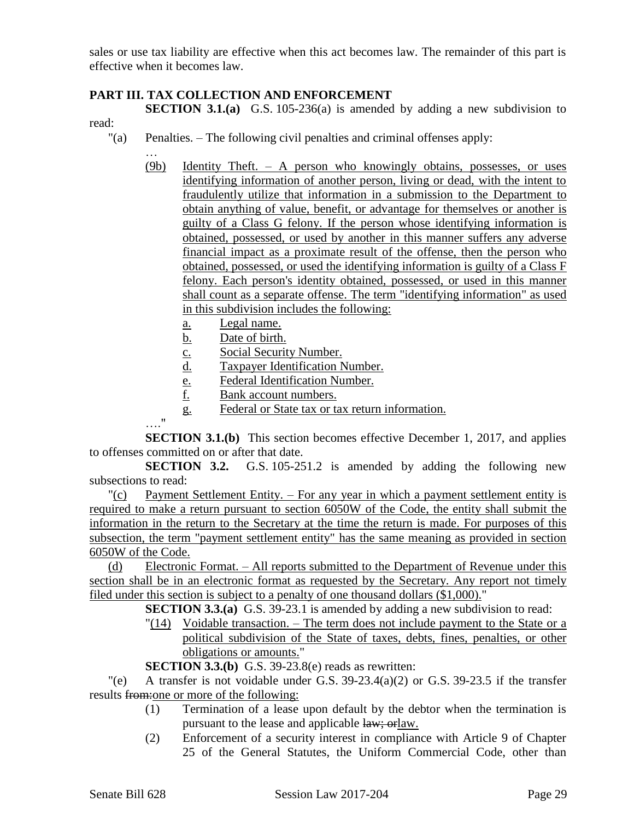sales or use tax liability are effective when this act becomes law. The remainder of this part is effective when it becomes law.

### **PART III. TAX COLLECTION AND ENFORCEMENT**

**SECTION 3.1.(a)** G.S. 105-236(a) is amended by adding a new subdivision to read:

- "(a) Penalties. The following civil penalties and criminal offenses apply:
	- … (9b) Identity Theft. – A person who knowingly obtains, possesses, or uses identifying information of another person, living or dead, with the intent to fraudulently utilize that information in a submission to the Department to obtain anything of value, benefit, or advantage for themselves or another is guilty of a Class G felony. If the person whose identifying information is obtained, possessed, or used by another in this manner suffers any adverse financial impact as a proximate result of the offense, then the person who obtained, possessed, or used the identifying information is guilty of a Class F felony. Each person's identity obtained, possessed, or used in this manner shall count as a separate offense. The term "identifying information" as used in this subdivision includes the following:
		- a. Legal name.
		- b. Date of birth.
		- c. Social Security Number.
		- d. Taxpayer Identification Number.
		- e. Federal Identification Number.
		- f. Bank account numbers.
		- g. Federal or State tax or tax return information.

…." **SECTION 3.1.(b)** This section becomes effective December 1, 2017, and applies to offenses committed on or after that date.

**SECTION 3.2.** G.S. 105-251.2 is amended by adding the following new subsections to read:

 $\frac{P}{C}$  Payment Settlement Entity. – For any year in which a payment settlement entity is required to make a return pursuant to section 6050W of the Code, the entity shall submit the information in the return to the Secretary at the time the return is made. For purposes of this subsection, the term "payment settlement entity" has the same meaning as provided in section 6050W of the Code.

(d) Electronic Format. – All reports submitted to the Department of Revenue under this section shall be in an electronic format as requested by the Secretary. Any report not timely filed under this section is subject to a penalty of one thousand dollars (\$1,000)."

**SECTION 3.3.(a)** G.S. 39-23.1 is amended by adding a new subdivision to read:

"(14) Voidable transaction. – The term does not include payment to the State or a political subdivision of the State of taxes, debts, fines, penalties, or other obligations or amounts."

**SECTION 3.3.(b)** G.S. 39-23.8(e) reads as rewritten:

 $\degree$  (e) A transfer is not voidable under G.S. 39-23.4(a)(2) or G.S. 39-23.5 if the transfer results from:one or more of the following:

- (1) Termination of a lease upon default by the debtor when the termination is pursuant to the lease and applicable law; orlaw.
- (2) Enforcement of a security interest in compliance with Article 9 of Chapter 25 of the General Statutes, the Uniform Commercial Code, other than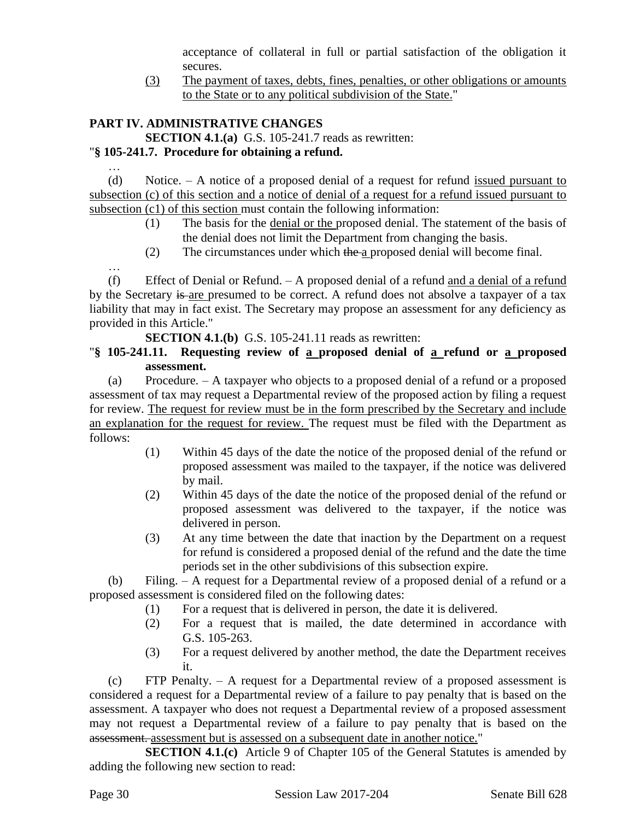acceptance of collateral in full or partial satisfaction of the obligation it secures.

(3) The payment of taxes, debts, fines, penalties, or other obligations or amounts to the State or to any political subdivision of the State."

# **PART IV. ADMINISTRATIVE CHANGES**

…

…

**SECTION 4.1.(a)** G.S. 105-241.7 reads as rewritten:

# "**§ 105-241.7. Procedure for obtaining a refund.**

(d) Notice. – A notice of a proposed denial of a request for refund issued pursuant to subsection (c) of this section and a notice of denial of a request for a refund issued pursuant to subsection (c1) of this section must contain the following information:

- (1) The basis for the denial or the proposed denial. The statement of the basis of the denial does not limit the Department from changing the basis.
- (2) The circumstances under which the a proposed denial will become final.

(f) Effect of Denial or Refund. – A proposed denial of a refund and a denial of a refund by the Secretary is are presumed to be correct. A refund does not absolve a taxpayer of a tax liability that may in fact exist. The Secretary may propose an assessment for any deficiency as provided in this Article."

**SECTION 4.1.(b)** G.S. 105-241.11 reads as rewritten:

# "**§ 105-241.11. Requesting review of a proposed denial of a refund or a proposed assessment.**

(a) Procedure. – A taxpayer who objects to a proposed denial of a refund or a proposed assessment of tax may request a Departmental review of the proposed action by filing a request for review. The request for review must be in the form prescribed by the Secretary and include an explanation for the request for review. The request must be filed with the Department as follows:

- (1) Within 45 days of the date the notice of the proposed denial of the refund or proposed assessment was mailed to the taxpayer, if the notice was delivered by mail.
- (2) Within 45 days of the date the notice of the proposed denial of the refund or proposed assessment was delivered to the taxpayer, if the notice was delivered in person.
- (3) At any time between the date that inaction by the Department on a request for refund is considered a proposed denial of the refund and the date the time periods set in the other subdivisions of this subsection expire.

(b) Filing. – A request for a Departmental review of a proposed denial of a refund or a proposed assessment is considered filed on the following dates:

- (1) For a request that is delivered in person, the date it is delivered.
- (2) For a request that is mailed, the date determined in accordance with G.S. 105-263.
- (3) For a request delivered by another method, the date the Department receives it.

(c) FTP Penalty. – A request for a Departmental review of a proposed assessment is considered a request for a Departmental review of a failure to pay penalty that is based on the assessment. A taxpayer who does not request a Departmental review of a proposed assessment may not request a Departmental review of a failure to pay penalty that is based on the assessment. assessment but is assessed on a subsequent date in another notice."

**SECTION 4.1.(c)** Article 9 of Chapter 105 of the General Statutes is amended by adding the following new section to read: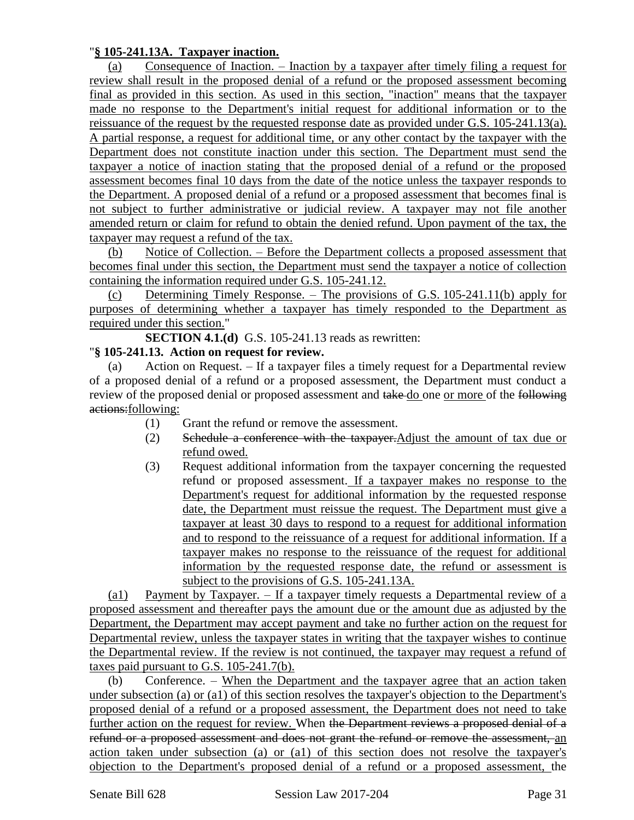### "**§ 105-241.13A. Taxpayer inaction.**

(a) Consequence of Inaction. – Inaction by a taxpayer after timely filing a request for review shall result in the proposed denial of a refund or the proposed assessment becoming final as provided in this section. As used in this section, "inaction" means that the taxpayer made no response to the Department's initial request for additional information or to the reissuance of the request by the requested response date as provided under G.S. 105-241.13(a). A partial response, a request for additional time, or any other contact by the taxpayer with the Department does not constitute inaction under this section. The Department must send the taxpayer a notice of inaction stating that the proposed denial of a refund or the proposed assessment becomes final 10 days from the date of the notice unless the taxpayer responds to the Department. A proposed denial of a refund or a proposed assessment that becomes final is not subject to further administrative or judicial review. A taxpayer may not file another amended return or claim for refund to obtain the denied refund. Upon payment of the tax, the taxpayer may request a refund of the tax.

(b) Notice of Collection. – Before the Department collects a proposed assessment that becomes final under this section, the Department must send the taxpayer a notice of collection containing the information required under G.S. 105-241.12.

(c) Determining Timely Response. – The provisions of G.S. 105-241.11(b) apply for purposes of determining whether a taxpayer has timely responded to the Department as required under this section."

**SECTION 4.1.(d)** G.S. 105-241.13 reads as rewritten:

### "**§ 105-241.13. Action on request for review.**

Action on Request.  $-$  If a taxpayer files a timely request for a Departmental review of a proposed denial of a refund or a proposed assessment, the Department must conduct a review of the proposed denial or proposed assessment and take do one or more of the following actions:following:

- (1) Grant the refund or remove the assessment.
- (2) Schedule a conference with the taxpayer.Adjust the amount of tax due or refund owed.
- (3) Request additional information from the taxpayer concerning the requested refund or proposed assessment. If a taxpayer makes no response to the Department's request for additional information by the requested response date, the Department must reissue the request. The Department must give a taxpayer at least 30 days to respond to a request for additional information and to respond to the reissuance of a request for additional information. If a taxpayer makes no response to the reissuance of the request for additional information by the requested response date, the refund or assessment is subject to the provisions of G.S. 105-241.13A.

(a1) Payment by Taxpayer. – If a taxpayer timely requests a Departmental review of a proposed assessment and thereafter pays the amount due or the amount due as adjusted by the Department, the Department may accept payment and take no further action on the request for Departmental review, unless the taxpayer states in writing that the taxpayer wishes to continue the Departmental review. If the review is not continued, the taxpayer may request a refund of taxes paid pursuant to G.S. 105-241.7(b).

(b) Conference. – When the Department and the taxpayer agree that an action taken under subsection (a) or (a1) of this section resolves the taxpayer's objection to the Department's proposed denial of a refund or a proposed assessment, the Department does not need to take further action on the request for review. When the Department reviews a proposed denial of a refund or a proposed assessment and does not grant the refund or remove the assessment, an action taken under subsection (a) or (a1) of this section does not resolve the taxpayer's objection to the Department's proposed denial of a refund or a proposed assessment, the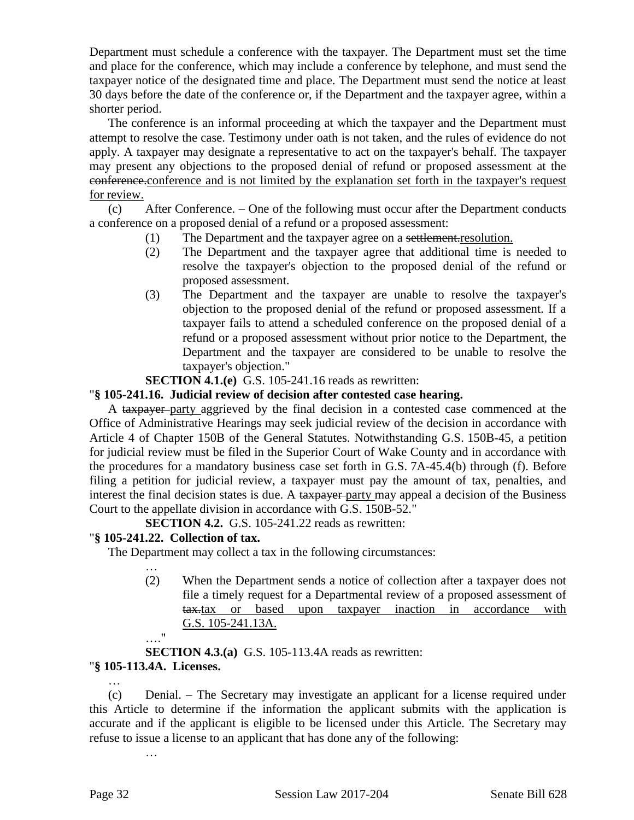Department must schedule a conference with the taxpayer. The Department must set the time and place for the conference, which may include a conference by telephone, and must send the taxpayer notice of the designated time and place. The Department must send the notice at least 30 days before the date of the conference or, if the Department and the taxpayer agree, within a shorter period.

The conference is an informal proceeding at which the taxpayer and the Department must attempt to resolve the case. Testimony under oath is not taken, and the rules of evidence do not apply. A taxpayer may designate a representative to act on the taxpayer's behalf. The taxpayer may present any objections to the proposed denial of refund or proposed assessment at the conference.conference and is not limited by the explanation set forth in the taxpayer's request for review.

(c) After Conference. – One of the following must occur after the Department conducts a conference on a proposed denial of a refund or a proposed assessment:

- (1) The Department and the taxpayer agree on a settlement.resolution.
- (2) The Department and the taxpayer agree that additional time is needed to resolve the taxpayer's objection to the proposed denial of the refund or proposed assessment.
- (3) The Department and the taxpayer are unable to resolve the taxpayer's objection to the proposed denial of the refund or proposed assessment. If a taxpayer fails to attend a scheduled conference on the proposed denial of a refund or a proposed assessment without prior notice to the Department, the Department and the taxpayer are considered to be unable to resolve the taxpayer's objection."
- **SECTION 4.1.(e)** G.S. 105-241.16 reads as rewritten:

# "**§ 105-241.16. Judicial review of decision after contested case hearing.**

A taxpayer party aggrieved by the final decision in a contested case commenced at the Office of Administrative Hearings may seek judicial review of the decision in accordance with Article 4 of Chapter 150B of the General Statutes. Notwithstanding G.S. 150B-45, a petition for judicial review must be filed in the Superior Court of Wake County and in accordance with the procedures for a mandatory business case set forth in G.S. 7A-45.4(b) through (f). Before filing a petition for judicial review, a taxpayer must pay the amount of tax, penalties, and interest the final decision states is due. A taxpayer party may appeal a decision of the Business Court to the appellate division in accordance with G.S. 150B-52."

**SECTION 4.2.** G.S. 105-241.22 reads as rewritten:

# "**§ 105-241.22. Collection of tax.**

The Department may collect a tax in the following circumstances:

… (2) When the Department sends a notice of collection after a taxpayer does not file a timely request for a Departmental review of a proposed assessment of tax.tax or based upon taxpayer inaction in accordance with G.S. 105-241.13A.

…." **SECTION 4.3.(a)** G.S. 105-113.4A reads as rewritten: "**§ 105-113.4A. Licenses.**

… (c) Denial. – The Secretary may investigate an applicant for a license required under this Article to determine if the information the applicant submits with the application is accurate and if the applicant is eligible to be licensed under this Article. The Secretary may refuse to issue a license to an applicant that has done any of the following: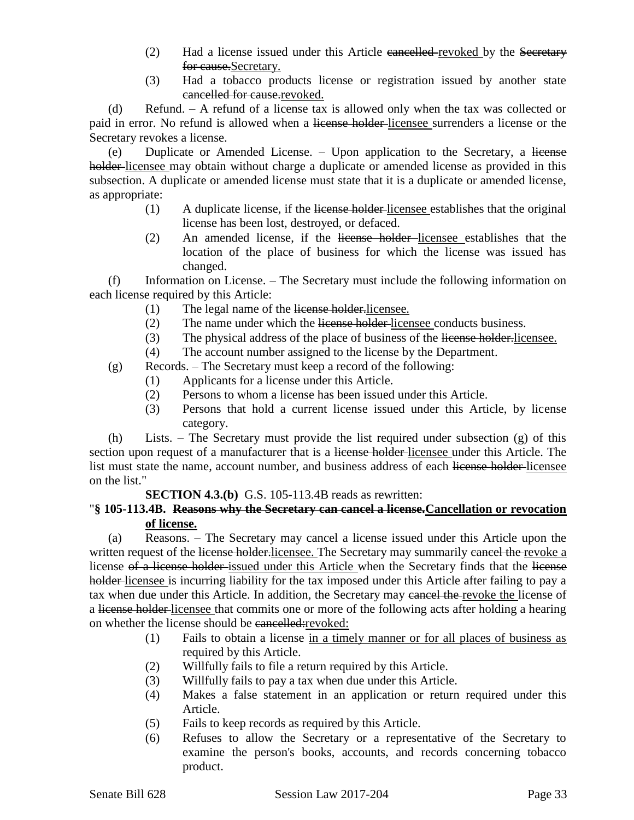- (2) Had a license issued under this Article eancelled-revoked by the Secretary for cause.Secretary.
- (3) Had a tobacco products license or registration issued by another state cancelled for cause.revoked.

(d) Refund. – A refund of a license tax is allowed only when the tax was collected or paid in error. No refund is allowed when a license holder licensee surrenders a license or the Secretary revokes a license.

(e) Duplicate or Amended License. – Upon application to the Secretary, a license holder-licensee may obtain without charge a duplicate or amended license as provided in this subsection. A duplicate or amended license must state that it is a duplicate or amended license, as appropriate:

- (1) A duplicate license, if the license holder licensee establishes that the original license has been lost, destroyed, or defaced.
- (2) An amended license, if the license holder licensee establishes that the location of the place of business for which the license was issued has changed.

(f) Information on License. – The Secretary must include the following information on each license required by this Article:

- (1) The legal name of the license holder.licensee.
- (2) The name under which the license holder licensee conducts business.
- (3) The physical address of the place of business of the license holder.licensee.
- (4) The account number assigned to the license by the Department.

(g) Records. – The Secretary must keep a record of the following:

- (1) Applicants for a license under this Article.
- (2) Persons to whom a license has been issued under this Article.
- (3) Persons that hold a current license issued under this Article, by license category.

(h) Lists. – The Secretary must provide the list required under subsection (g) of this section upon request of a manufacturer that is a license holder-licensee under this Article. The list must state the name, account number, and business address of each license holder-licensee on the list."

**SECTION 4.3.(b)** G.S. 105-113.4B reads as rewritten:

### "**§ 105-113.4B. Reasons why the Secretary can cancel a license.Cancellation or revocation of license.**

(a) Reasons. – The Secretary may cancel a license issued under this Article upon the written request of the license holder.licensee. The Secretary may summarily cancel the revoke a license of a license holder issued under this Article when the Secretary finds that the license holder-licensee is incurring liability for the tax imposed under this Article after failing to pay a tax when due under this Article. In addition, the Secretary may cancel the revoke the license of a license holder licensee that commits one or more of the following acts after holding a hearing on whether the license should be cancelled:revoked:

- (1) Fails to obtain a license in a timely manner or for all places of business as required by this Article.
- (2) Willfully fails to file a return required by this Article.
- (3) Willfully fails to pay a tax when due under this Article.
- (4) Makes a false statement in an application or return required under this Article.
- (5) Fails to keep records as required by this Article.
- (6) Refuses to allow the Secretary or a representative of the Secretary to examine the person's books, accounts, and records concerning tobacco product.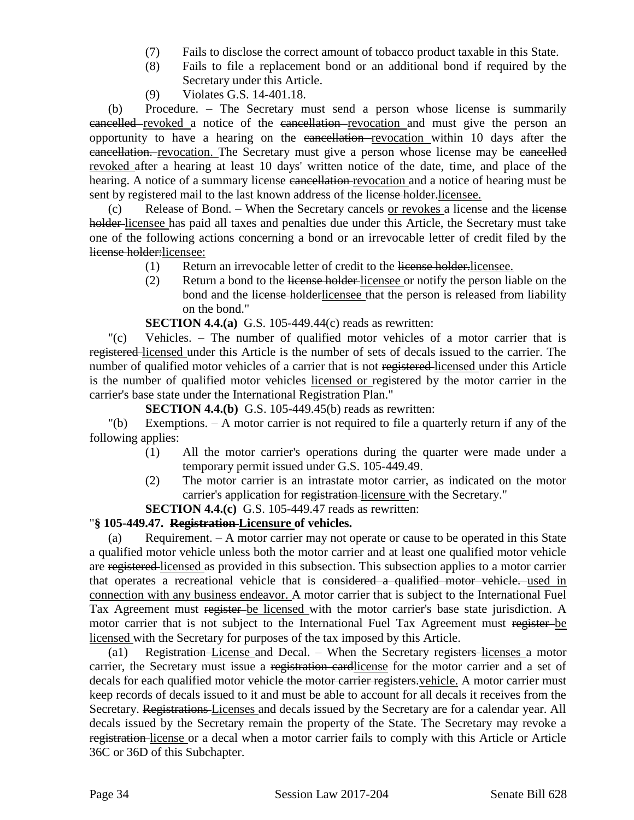- (7) Fails to disclose the correct amount of tobacco product taxable in this State.
- (8) Fails to file a replacement bond or an additional bond if required by the Secretary under this Article.
- (9) Violates G.S. 14-401.18.

(b) Procedure. – The Secretary must send a person whose license is summarily cancelled revoked a notice of the cancellation revocation and must give the person an opportunity to have a hearing on the cancellation revocation within 10 days after the cancellation. revocation. The Secretary must give a person whose license may be cancelled revoked after a hearing at least 10 days' written notice of the date, time, and place of the hearing. A notice of a summary license cancellation-revocation and a notice of hearing must be sent by registered mail to the last known address of the license holder-licensee.

(c) Release of Bond. – When the Secretary cancels or revokes a license and the license holder-licensee has paid all taxes and penalties due under this Article, the Secretary must take one of the following actions concerning a bond or an irrevocable letter of credit filed by the license holder:licensee:

- (1) Return an irrevocable letter of credit to the license holder.licensee.
- (2) Return a bond to the license holder licensee or notify the person liable on the bond and the license holderlicensee that the person is released from liability on the bond."

**SECTION 4.4.(a)** G.S. 105-449.44(c) reads as rewritten:

"(c) Vehicles. – The number of qualified motor vehicles of a motor carrier that is registered licensed under this Article is the number of sets of decals issued to the carrier. The number of qualified motor vehicles of a carrier that is not registered licensed under this Article is the number of qualified motor vehicles licensed or registered by the motor carrier in the carrier's base state under the International Registration Plan."

**SECTION 4.4.(b)** G.S. 105-449.45(b) reads as rewritten:

"(b) Exemptions. – A motor carrier is not required to file a quarterly return if any of the following applies:

- (1) All the motor carrier's operations during the quarter were made under a temporary permit issued under G.S. 105-449.49.
- (2) The motor carrier is an intrastate motor carrier, as indicated on the motor carrier's application for registration licensure with the Secretary."

**SECTION 4.4.(c)** G.S. 105-449.47 reads as rewritten:

# "**§ 105-449.47. Registration Licensure of vehicles.**

(a) Requirement. – A motor carrier may not operate or cause to be operated in this State a qualified motor vehicle unless both the motor carrier and at least one qualified motor vehicle are registered licensed as provided in this subsection. This subsection applies to a motor carrier that operates a recreational vehicle that is considered a qualified motor vehicle. used in connection with any business endeavor. A motor carrier that is subject to the International Fuel Tax Agreement must register be licensed with the motor carrier's base state jurisdiction. A motor carrier that is not subject to the International Fuel Tax Agreement must register be licensed with the Secretary for purposes of the tax imposed by this Article.

(a1) Registration License and Decal. – When the Secretary registers licenses a motor carrier, the Secretary must issue a registration cardlicense for the motor carrier and a set of decals for each qualified motor vehicle the motor carrier registers. vehicle. A motor carrier must keep records of decals issued to it and must be able to account for all decals it receives from the Secretary. Registrations Licenses and decals issued by the Secretary are for a calendar year. All decals issued by the Secretary remain the property of the State. The Secretary may revoke a registration license or a decal when a motor carrier fails to comply with this Article or Article 36C or 36D of this Subchapter.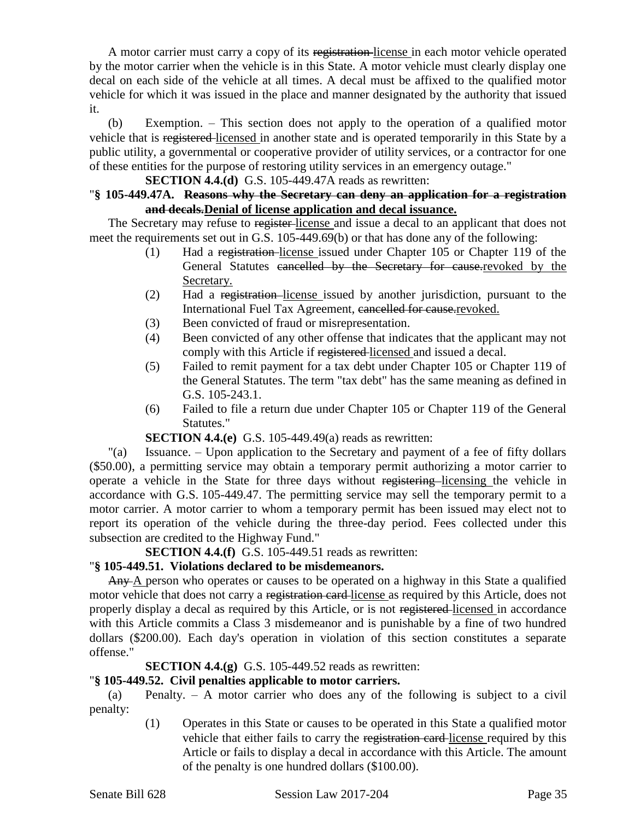A motor carrier must carry a copy of its registration-license in each motor vehicle operated by the motor carrier when the vehicle is in this State. A motor vehicle must clearly display one decal on each side of the vehicle at all times. A decal must be affixed to the qualified motor vehicle for which it was issued in the place and manner designated by the authority that issued it.

(b) Exemption. – This section does not apply to the operation of a qualified motor vehicle that is registered licensed in another state and is operated temporarily in this State by a public utility, a governmental or cooperative provider of utility services, or a contractor for one of these entities for the purpose of restoring utility services in an emergency outage."

**SECTION 4.4.(d)** G.S. 105-449.47A reads as rewritten:

### "**§ 105-449.47A. Reasons why the Secretary can deny an application for a registration and decals.Denial of license application and decal issuance.**

The Secretary may refuse to register-license and issue a decal to an applicant that does not meet the requirements set out in G.S. 105-449.69(b) or that has done any of the following:

- (1) Had a registration license issued under Chapter 105 or Chapter 119 of the General Statutes cancelled by the Secretary for cause.revoked by the Secretary.
- (2) Had a registration license issued by another jurisdiction, pursuant to the International Fuel Tax Agreement, cancelled for cause revoked.
- (3) Been convicted of fraud or misrepresentation.
- (4) Been convicted of any other offense that indicates that the applicant may not comply with this Article if registered licensed and issued a decal.
- (5) Failed to remit payment for a tax debt under Chapter 105 or Chapter 119 of the General Statutes. The term "tax debt" has the same meaning as defined in G.S. 105-243.1.
- (6) Failed to file a return due under Chapter 105 or Chapter 119 of the General Statutes."

#### **SECTION 4.4.(e)** G.S. 105-449.49(a) reads as rewritten:

"(a) Issuance. – Upon application to the Secretary and payment of a fee of fifty dollars (\$50.00), a permitting service may obtain a temporary permit authorizing a motor carrier to operate a vehicle in the State for three days without registering licensing the vehicle in accordance with G.S. 105-449.47. The permitting service may sell the temporary permit to a motor carrier. A motor carrier to whom a temporary permit has been issued may elect not to report its operation of the vehicle during the three-day period. Fees collected under this subsection are credited to the Highway Fund."

**SECTION 4.4.(f)** G.S. 105-449.51 reads as rewritten:

# "**§ 105-449.51. Violations declared to be misdemeanors.**

Any A person who operates or causes to be operated on a highway in this State a qualified motor vehicle that does not carry a registration card-license as required by this Article, does not properly display a decal as required by this Article, or is not registered licensed in accordance with this Article commits a Class 3 misdemeanor and is punishable by a fine of two hundred dollars (\$200.00). Each day's operation in violation of this section constitutes a separate offense."

**SECTION 4.4.(g)** G.S. 105-449.52 reads as rewritten:

#### "**§ 105-449.52. Civil penalties applicable to motor carriers.**

(a) Penalty. – A motor carrier who does any of the following is subject to a civil penalty:

> (1) Operates in this State or causes to be operated in this State a qualified motor vehicle that either fails to carry the registration card license required by this Article or fails to display a decal in accordance with this Article. The amount of the penalty is one hundred dollars (\$100.00).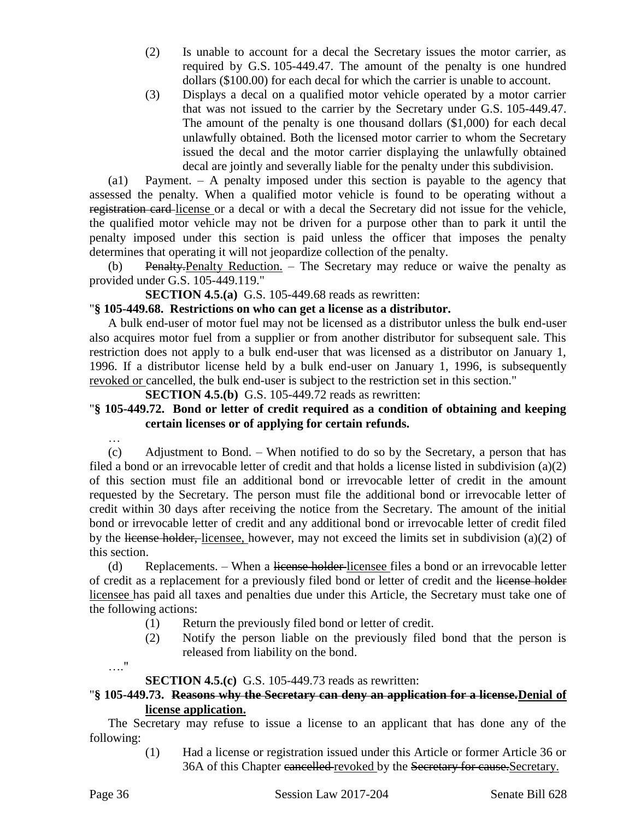- (2) Is unable to account for a decal the Secretary issues the motor carrier, as required by G.S. 105-449.47. The amount of the penalty is one hundred dollars (\$100.00) for each decal for which the carrier is unable to account.
- (3) Displays a decal on a qualified motor vehicle operated by a motor carrier that was not issued to the carrier by the Secretary under G.S. 105-449.47. The amount of the penalty is one thousand dollars (\$1,000) for each decal unlawfully obtained. Both the licensed motor carrier to whom the Secretary issued the decal and the motor carrier displaying the unlawfully obtained decal are jointly and severally liable for the penalty under this subdivision.

(a1) Payment. – A penalty imposed under this section is payable to the agency that assessed the penalty. When a qualified motor vehicle is found to be operating without a registration card license or a decal or with a decal the Secretary did not issue for the vehicle, the qualified motor vehicle may not be driven for a purpose other than to park it until the penalty imposed under this section is paid unless the officer that imposes the penalty determines that operating it will not jeopardize collection of the penalty.

(b) Penalty.Penalty Reduction. – The Secretary may reduce or waive the penalty as provided under G.S. 105-449.119."

**SECTION 4.5.(a)** G.S. 105-449.68 reads as rewritten:

### "**§ 105-449.68. Restrictions on who can get a license as a distributor.**

A bulk end-user of motor fuel may not be licensed as a distributor unless the bulk end-user also acquires motor fuel from a supplier or from another distributor for subsequent sale. This restriction does not apply to a bulk end-user that was licensed as a distributor on January 1, 1996. If a distributor license held by a bulk end-user on January 1, 1996, is subsequently revoked or cancelled, the bulk end-user is subject to the restriction set in this section."

**SECTION 4.5.(b)** G.S. 105-449.72 reads as rewritten:

# "**§ 105-449.72. Bond or letter of credit required as a condition of obtaining and keeping certain licenses or of applying for certain refunds.**

(c) Adjustment to Bond. – When notified to do so by the Secretary, a person that has filed a bond or an irrevocable letter of credit and that holds a license listed in subdivision (a)(2) of this section must file an additional bond or irrevocable letter of credit in the amount requested by the Secretary. The person must file the additional bond or irrevocable letter of credit within 30 days after receiving the notice from the Secretary. The amount of the initial bond or irrevocable letter of credit and any additional bond or irrevocable letter of credit filed by the license holder, licensee, however, may not exceed the limits set in subdivision (a)(2) of this section.

(d) Replacements. – When a license holder-licensee files a bond or an irrevocable letter of credit as a replacement for a previously filed bond or letter of credit and the license holder licensee has paid all taxes and penalties due under this Article, the Secretary must take one of the following actions:

- (1) Return the previously filed bond or letter of credit.
- (2) Notify the person liable on the previously filed bond that the person is released from liability on the bond.
- …."

…

# **SECTION 4.5.(c)** G.S. 105-449.73 reads as rewritten:

# "**§ 105-449.73. Reasons why the Secretary can deny an application for a license.Denial of license application.**

The Secretary may refuse to issue a license to an applicant that has done any of the following:

> (1) Had a license or registration issued under this Article or former Article 36 or 36A of this Chapter cancelled revoked by the Secretary for cause. Secretary.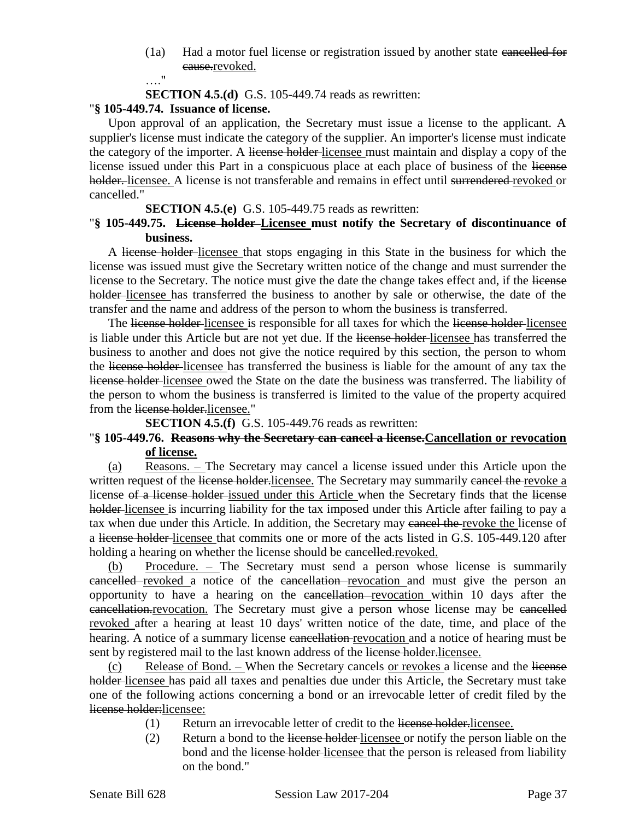(1a) Had a motor fuel license or registration issued by another state cancelled for eause.revoked. …."

**SECTION 4.5.(d)** G.S. 105-449.74 reads as rewritten:

### "**§ 105-449.74. Issuance of license.**

Upon approval of an application, the Secretary must issue a license to the applicant. A supplier's license must indicate the category of the supplier. An importer's license must indicate the category of the importer. A license holder-licensee must maintain and display a copy of the license issued under this Part in a conspicuous place at each place of business of the license holder. licensee. A license is not transferable and remains in effect until surrendered revoked or cancelled."

#### **SECTION 4.5.(e)** G.S. 105-449.75 reads as rewritten:

### "**§ 105-449.75. License holder Licensee must notify the Secretary of discontinuance of business.**

A license holder licensee that stops engaging in this State in the business for which the license was issued must give the Secretary written notice of the change and must surrender the license to the Secretary. The notice must give the date the change takes effect and, if the license holder-licensee has transferred the business to another by sale or otherwise, the date of the transfer and the name and address of the person to whom the business is transferred.

The license holder-licensee is responsible for all taxes for which the license holder-licensee is liable under this Article but are not yet due. If the license holder-licensee has transferred the business to another and does not give the notice required by this section, the person to whom the license holder licensee has transferred the business is liable for the amount of any tax the license holder licensee owed the State on the date the business was transferred. The liability of the person to whom the business is transferred is limited to the value of the property acquired from the license holder.licensee."

**SECTION 4.5.(f)** G.S. 105-449.76 reads as rewritten:

### "**§ 105-449.76. Reasons why the Secretary can cancel a license.Cancellation or revocation of license.**

(a) Reasons. – The Secretary may cancel a license issued under this Article upon the written request of the license holder.licensee. The Secretary may summarily cancel the revoke a license of a license holder issued under this Article when the Secretary finds that the license holder-licensee is incurring liability for the tax imposed under this Article after failing to pay a tax when due under this Article. In addition, the Secretary may cancel the revoke the license of a license holder licensee that commits one or more of the acts listed in G.S. 105-449.120 after holding a hearing on whether the license should be cancelled.revoked.

(b) Procedure. – The Secretary must send a person whose license is summarily cancelled revoked a notice of the cancellation revocation and must give the person an opportunity to have a hearing on the cancellation revocation within 10 days after the cancellation.revocation. The Secretary must give a person whose license may be cancelled revoked after a hearing at least 10 days' written notice of the date, time, and place of the hearing. A notice of a summary license cancellation revocation and a notice of hearing must be sent by registered mail to the last known address of the license holder.licensee.

(c) Release of Bond. – When the Secretary cancels or revokes a license and the license holder licensee has paid all taxes and penalties due under this Article, the Secretary must take one of the following actions concerning a bond or an irrevocable letter of credit filed by the license holder:licensee:

- (1) Return an irrevocable letter of credit to the license holder.licensee.
- (2) Return a bond to the license holder licensee or notify the person liable on the bond and the license holder-licensee that the person is released from liability on the bond."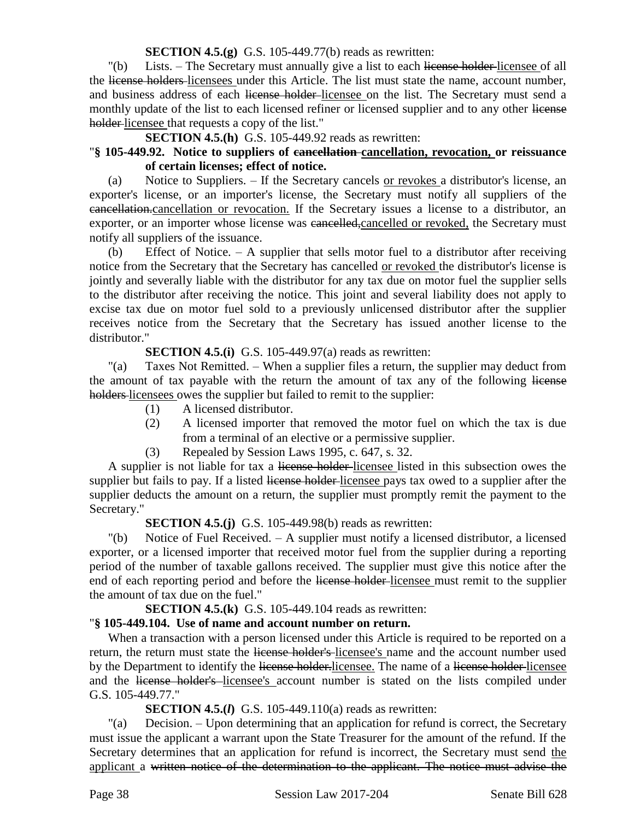**SECTION 4.5.(g)** G.S. 105-449.77(b) reads as rewritten:

"(b) Lists. – The Secretary must annually give a list to each license holder-licensee of all the license holders licensees under this Article. The list must state the name, account number, and business address of each license holder-licensee on the list. The Secretary must send a monthly update of the list to each licensed refiner or licensed supplier and to any other license holder-licensee that requests a copy of the list."

**SECTION 4.5.(h)** G.S. 105-449.92 reads as rewritten:

### "**§ 105-449.92. Notice to suppliers of cancellation cancellation, revocation, or reissuance of certain licenses; effect of notice.**

(a) Notice to Suppliers. – If the Secretary cancels or revokes a distributor's license, an exporter's license, or an importer's license, the Secretary must notify all suppliers of the cancellation.cancellation or revocation. If the Secretary issues a license to a distributor, an exporter, or an importer whose license was cancelled, cancelled or revoked, the Secretary must notify all suppliers of the issuance.

(b) Effect of Notice.  $- A$  supplier that sells motor fuel to a distributor after receiving notice from the Secretary that the Secretary has cancelled or revoked the distributor's license is jointly and severally liable with the distributor for any tax due on motor fuel the supplier sells to the distributor after receiving the notice. This joint and several liability does not apply to excise tax due on motor fuel sold to a previously unlicensed distributor after the supplier receives notice from the Secretary that the Secretary has issued another license to the distributor."

# **SECTION 4.5.(i)** G.S. 105-449.97(a) reads as rewritten:

"(a) Taxes Not Remitted. – When a supplier files a return, the supplier may deduct from the amount of tax payable with the return the amount of tax any of the following license holders-licensees owes the supplier but failed to remit to the supplier:

- (1) A licensed distributor.
- (2) A licensed importer that removed the motor fuel on which the tax is due from a terminal of an elective or a permissive supplier.
- (3) Repealed by Session Laws 1995, c. 647, s. 32.

A supplier is not liable for tax a license holder-licensee listed in this subsection owes the supplier but fails to pay. If a listed license holder licensee pays tax owed to a supplier after the supplier deducts the amount on a return, the supplier must promptly remit the payment to the Secretary."

# **SECTION 4.5.(j)** G.S. 105-449.98(b) reads as rewritten:

"(b) Notice of Fuel Received. – A supplier must notify a licensed distributor, a licensed exporter, or a licensed importer that received motor fuel from the supplier during a reporting period of the number of taxable gallons received. The supplier must give this notice after the end of each reporting period and before the license holder-licensee must remit to the supplier the amount of tax due on the fuel."

**SECTION 4.5.(k)** G.S. 105-449.104 reads as rewritten:

# "**§ 105-449.104. Use of name and account number on return.**

When a transaction with a person licensed under this Article is required to be reported on a return, the return must state the license holder's licensee's name and the account number used by the Department to identify the license holder-licensee. The name of a license holder-licensee and the license holder's licensee's account number is stated on the lists compiled under G.S. 105-449.77."

**SECTION 4.5.(***l***)** G.S. 105-449.110(a) reads as rewritten:

"(a) Decision. – Upon determining that an application for refund is correct, the Secretary must issue the applicant a warrant upon the State Treasurer for the amount of the refund. If the Secretary determines that an application for refund is incorrect, the Secretary must send the applicant a written notice of the determination to the applicant. The notice must advise the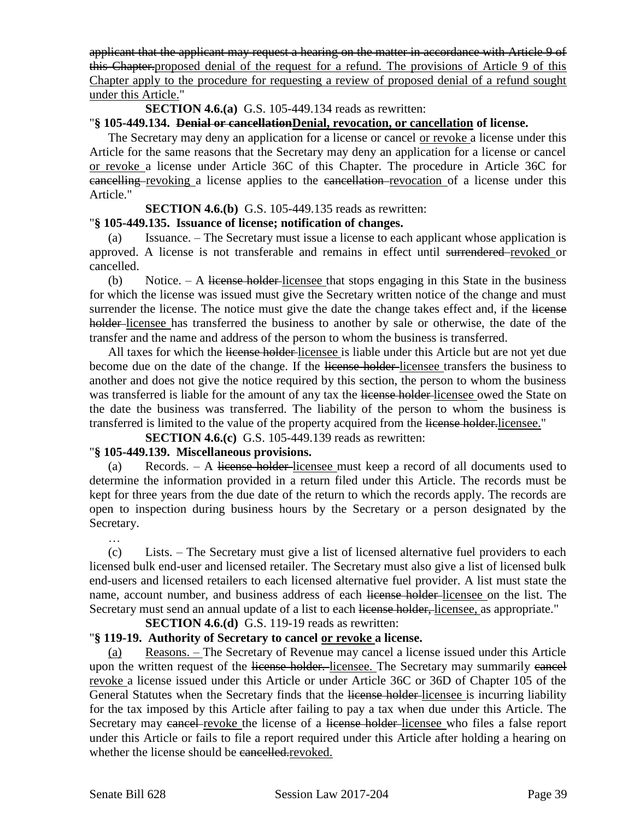applicant that the applicant may request a hearing on the matter in accordance with Article 9 of this Chapter.proposed denial of the request for a refund. The provisions of Article 9 of this Chapter apply to the procedure for requesting a review of proposed denial of a refund sought under this Article."

**SECTION 4.6.(a)** G.S. 105-449.134 reads as rewritten:

# "**§ 105-449.134. Denial or cancellationDenial, revocation, or cancellation of license.**

The Secretary may deny an application for a license or cancel or revoke a license under this Article for the same reasons that the Secretary may deny an application for a license or cancel or revoke a license under Article 36C of this Chapter. The procedure in Article 36C for **eancelling**-revoking a license applies to the cancellation-revocation of a license under this Article."

#### **SECTION 4.6.(b)** G.S. 105-449.135 reads as rewritten:

### "**§ 105-449.135. Issuance of license; notification of changes.**

(a) Issuance. – The Secretary must issue a license to each applicant whose application is approved. A license is not transferable and remains in effect until surrendered revoked or cancelled.

(b) Notice.  $-$  A license holder-licensee that stops engaging in this State in the business for which the license was issued must give the Secretary written notice of the change and must surrender the license. The notice must give the date the change takes effect and, if the license holder-licensee has transferred the business to another by sale or otherwise, the date of the transfer and the name and address of the person to whom the business is transferred.

All taxes for which the license holder-licensee is liable under this Article but are not yet due become due on the date of the change. If the license holder-licensee transfers the business to another and does not give the notice required by this section, the person to whom the business was transferred is liable for the amount of any tax the license holder-licensee owed the State on the date the business was transferred. The liability of the person to whom the business is transferred is limited to the value of the property acquired from the license holder. licensee."

**SECTION 4.6.(c)** G.S. 105-449.139 reads as rewritten:

# "**§ 105-449.139. Miscellaneous provisions.**

(a) Records. – A license holder licensee must keep a record of all documents used to determine the information provided in a return filed under this Article. The records must be kept for three years from the due date of the return to which the records apply. The records are open to inspection during business hours by the Secretary or a person designated by the Secretary.

(c) Lists. – The Secretary must give a list of licensed alternative fuel providers to each licensed bulk end-user and licensed retailer. The Secretary must also give a list of licensed bulk end-users and licensed retailers to each licensed alternative fuel provider. A list must state the name, account number, and business address of each license holder-licensee on the list. The Secretary must send an annual update of a list to each license holder, licensee, as appropriate."

# **SECTION 4.6.(d)** G.S. 119-19 reads as rewritten:

# "**§ 119-19. Authority of Secretary to cancel or revoke a license.**

(a) Reasons. – The Secretary of Revenue may cancel a license issued under this Article upon the written request of the license holder. licensee. The Secretary may summarily eaneel revoke a license issued under this Article or under Article 36C or 36D of Chapter 105 of the General Statutes when the Secretary finds that the license holder-licensee is incurring liability for the tax imposed by this Article after failing to pay a tax when due under this Article. The Secretary may cancel revoke the license of a license holder-licensee who files a false report under this Article or fails to file a report required under this Article after holding a hearing on whether the license should be cancelled.revoked.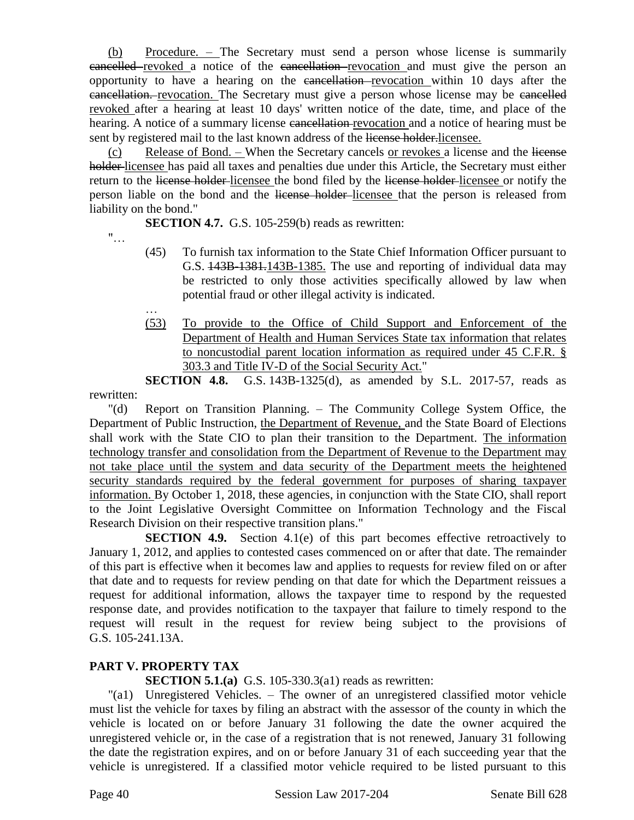(b) Procedure. – The Secretary must send a person whose license is summarily cancelled revoked a notice of the cancellation revocation and must give the person an opportunity to have a hearing on the cancellation revocation within 10 days after the cancellation. revocation. The Secretary must give a person whose license may be cancelled revoked after a hearing at least 10 days' written notice of the date, time, and place of the hearing. A notice of a summary license cancellation revocation and a notice of hearing must be sent by registered mail to the last known address of the license holder. licensee.

(c) Release of Bond. – When the Secretary cancels or revokes a license and the license holder licensee has paid all taxes and penalties due under this Article, the Secretary must either return to the license holder-licensee the bond filed by the license holder-licensee or notify the person liable on the bond and the license holder licensee that the person is released from liability on the bond."

**SECTION 4.7.** G.S. 105-259(b) reads as rewritten:

 $"$ …

- (45) To furnish tax information to the State Chief Information Officer pursuant to G.S. 143B-1381.143B-1385. The use and reporting of individual data may be restricted to only those activities specifically allowed by law when potential fraud or other illegal activity is indicated.
- … (53) To provide to the Office of Child Support and Enforcement of the Department of Health and Human Services State tax information that relates to noncustodial parent location information as required under 45 C.F.R. § 303.3 and Title IV-D of the Social Security Act."

**SECTION 4.8.** G.S. 143B-1325(d), as amended by S.L. 2017-57, reads as rewritten:

"(d) Report on Transition Planning. – The Community College System Office, the Department of Public Instruction, the Department of Revenue, and the State Board of Elections shall work with the State CIO to plan their transition to the Department. The information technology transfer and consolidation from the Department of Revenue to the Department may not take place until the system and data security of the Department meets the heightened security standards required by the federal government for purposes of sharing taxpayer information. By October 1, 2018, these agencies, in conjunction with the State CIO, shall report to the Joint Legislative Oversight Committee on Information Technology and the Fiscal Research Division on their respective transition plans."

**SECTION 4.9.** Section 4.1(e) of this part becomes effective retroactively to January 1, 2012, and applies to contested cases commenced on or after that date. The remainder of this part is effective when it becomes law and applies to requests for review filed on or after that date and to requests for review pending on that date for which the Department reissues a request for additional information, allows the taxpayer time to respond by the requested response date, and provides notification to the taxpayer that failure to timely respond to the request will result in the request for review being subject to the provisions of G.S. 105-241.13A.

# **PART V. PROPERTY TAX**

**SECTION 5.1.(a)** G.S. 105-330.3(a1) reads as rewritten:

"(a1) Unregistered Vehicles. – The owner of an unregistered classified motor vehicle must list the vehicle for taxes by filing an abstract with the assessor of the county in which the vehicle is located on or before January 31 following the date the owner acquired the unregistered vehicle or, in the case of a registration that is not renewed, January 31 following the date the registration expires, and on or before January 31 of each succeeding year that the vehicle is unregistered. If a classified motor vehicle required to be listed pursuant to this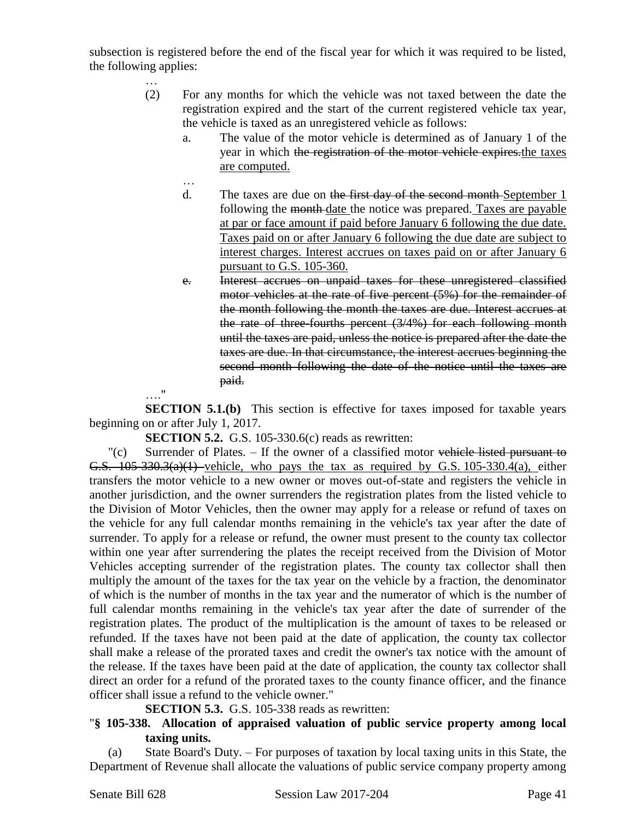subsection is registered before the end of the fiscal year for which it was required to be listed, the following applies:

- (2) For any months for which the vehicle was not taxed between the date the registration expired and the start of the current registered vehicle tax year, the vehicle is taxed as an unregistered vehicle as follows:
	- a. The value of the motor vehicle is determined as of January 1 of the year in which the registration of the motor vehicle expires the taxes are computed.
	- … d. The taxes are due on the first day of the second month-September 1 following the month date the notice was prepared. Taxes are payable at par or face amount if paid before January 6 following the due date. Taxes paid on or after January 6 following the due date are subject to interest charges. Interest accrues on taxes paid on or after January 6 pursuant to G.S. 105-360.
	- e. Interest accrues on unpaid taxes for these unregistered classified motor vehicles at the rate of five percent (5%) for the remainder of the month following the month the taxes are due. Interest accrues at the rate of three-fourths percent  $(3/4%)$  for each following month until the taxes are paid, unless the notice is prepared after the date the taxes are due. In that circumstance, the interest accrues beginning the second month following the date of the notice until the taxes are paid.

…."

…

**SECTION 5.1.(b)** This section is effective for taxes imposed for taxable years beginning on or after July 1, 2017.

**SECTION 5.2.** G.S. 105-330.6(c) reads as rewritten:

 $\Gamma(c)$  Surrender of Plates. – If the owner of a classified motor vehicle listed pursuant to G.S.  $105-330.3(a)(1)$  vehicle, who pays the tax as required by G.S. 105-330.4(a), either transfers the motor vehicle to a new owner or moves out-of-state and registers the vehicle in another jurisdiction, and the owner surrenders the registration plates from the listed vehicle to the Division of Motor Vehicles, then the owner may apply for a release or refund of taxes on the vehicle for any full calendar months remaining in the vehicle's tax year after the date of surrender. To apply for a release or refund, the owner must present to the county tax collector within one year after surrendering the plates the receipt received from the Division of Motor Vehicles accepting surrender of the registration plates. The county tax collector shall then multiply the amount of the taxes for the tax year on the vehicle by a fraction, the denominator of which is the number of months in the tax year and the numerator of which is the number of full calendar months remaining in the vehicle's tax year after the date of surrender of the registration plates. The product of the multiplication is the amount of taxes to be released or refunded. If the taxes have not been paid at the date of application, the county tax collector shall make a release of the prorated taxes and credit the owner's tax notice with the amount of the release. If the taxes have been paid at the date of application, the county tax collector shall direct an order for a refund of the prorated taxes to the county finance officer, and the finance officer shall issue a refund to the vehicle owner."

**SECTION 5.3.** G.S. 105-338 reads as rewritten:

# "**§ 105-338. Allocation of appraised valuation of public service property among local taxing units.**

(a) State Board's Duty. – For purposes of taxation by local taxing units in this State, the Department of Revenue shall allocate the valuations of public service company property among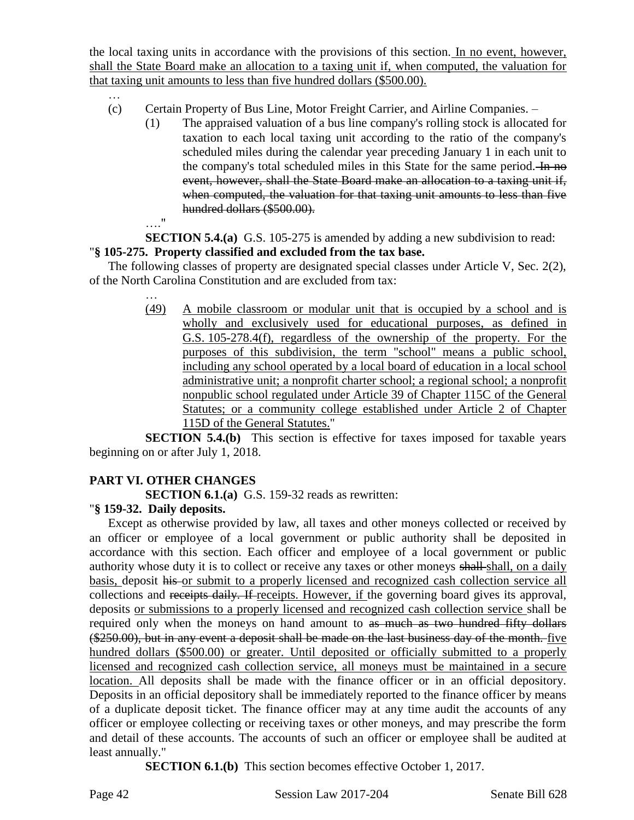the local taxing units in accordance with the provisions of this section. In no event, however, shall the State Board make an allocation to a taxing unit if, when computed, the valuation for that taxing unit amounts to less than five hundred dollars (\$500.00).

- … (c) Certain Property of Bus Line, Motor Freight Carrier, and Airline Companies. –
	- (1) The appraised valuation of a bus line company's rolling stock is allocated for taxation to each local taxing unit according to the ratio of the company's scheduled miles during the calendar year preceding January 1 in each unit to the company's total scheduled miles in this State for the same period. In no event, however, shall the State Board make an allocation to a taxing unit if, when computed, the valuation for that taxing unit amounts to less than five hundred dollars (\$500.00).
	- …."

…

**SECTION 5.4.(a)** G.S. 105-275 is amended by adding a new subdivision to read:

# "**§ 105-275. Property classified and excluded from the tax base.**

The following classes of property are designated special classes under Article V, Sec. 2(2), of the North Carolina Constitution and are excluded from tax:

> (49) A mobile classroom or modular unit that is occupied by a school and is wholly and exclusively used for educational purposes, as defined in G.S. 105-278.4(f), regardless of the ownership of the property. For the purposes of this subdivision, the term "school" means a public school, including any school operated by a local board of education in a local school administrative unit; a nonprofit charter school; a regional school; a nonprofit nonpublic school regulated under Article 39 of Chapter 115C of the General Statutes; or a community college established under Article 2 of Chapter 115D of the General Statutes."

**SECTION 5.4.(b)** This section is effective for taxes imposed for taxable years beginning on or after July 1, 2018.

# **PART VI. OTHER CHANGES**

**SECTION 6.1.(a)** G.S. 159-32 reads as rewritten:

# "**§ 159-32. Daily deposits.**

Except as otherwise provided by law, all taxes and other moneys collected or received by an officer or employee of a local government or public authority shall be deposited in accordance with this section. Each officer and employee of a local government or public authority whose duty it is to collect or receive any taxes or other moneys shall-shall, on a daily basis, deposit his or submit to a properly licensed and recognized cash collection service all collections and receipts daily. If receipts. However, if the governing board gives its approval, deposits or submissions to a properly licensed and recognized cash collection service shall be required only when the moneys on hand amount to as much as two hundred fifty dollars (\$250.00), but in any event a deposit shall be made on the last business day of the month. five hundred dollars (\$500.00) or greater. Until deposited or officially submitted to a properly licensed and recognized cash collection service, all moneys must be maintained in a secure location. All deposits shall be made with the finance officer or in an official depository. Deposits in an official depository shall be immediately reported to the finance officer by means of a duplicate deposit ticket. The finance officer may at any time audit the accounts of any officer or employee collecting or receiving taxes or other moneys, and may prescribe the form and detail of these accounts. The accounts of such an officer or employee shall be audited at least annually."

**SECTION 6.1.(b)** This section becomes effective October 1, 2017.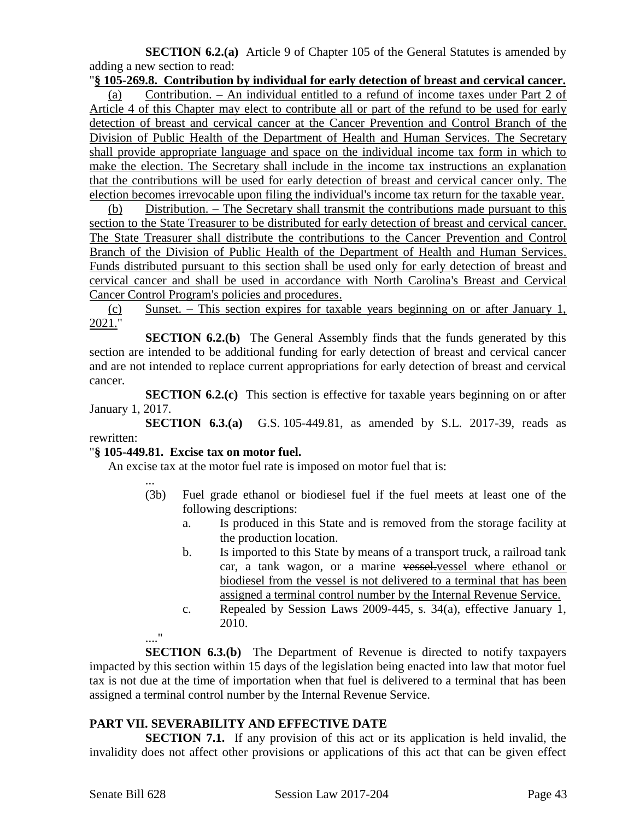**SECTION 6.2.(a)** Article 9 of Chapter 105 of the General Statutes is amended by adding a new section to read:

#### "**§ 105-269.8. Contribution by individual for early detection of breast and cervical cancer.**

(a) Contribution. – An individual entitled to a refund of income taxes under Part 2 of Article 4 of this Chapter may elect to contribute all or part of the refund to be used for early detection of breast and cervical cancer at the Cancer Prevention and Control Branch of the Division of Public Health of the Department of Health and Human Services. The Secretary shall provide appropriate language and space on the individual income tax form in which to make the election. The Secretary shall include in the income tax instructions an explanation that the contributions will be used for early detection of breast and cervical cancer only. The election becomes irrevocable upon filing the individual's income tax return for the taxable year.

(b) Distribution. – The Secretary shall transmit the contributions made pursuant to this section to the State Treasurer to be distributed for early detection of breast and cervical cancer. The State Treasurer shall distribute the contributions to the Cancer Prevention and Control Branch of the Division of Public Health of the Department of Health and Human Services. Funds distributed pursuant to this section shall be used only for early detection of breast and cervical cancer and shall be used in accordance with North Carolina's Breast and Cervical Cancer Control Program's policies and procedures.

(c) Sunset. – This section expires for taxable years beginning on or after January 1, 2021."

**SECTION 6.2.(b)** The General Assembly finds that the funds generated by this section are intended to be additional funding for early detection of breast and cervical cancer and are not intended to replace current appropriations for early detection of breast and cervical cancer.

**SECTION 6.2.(c)** This section is effective for taxable years beginning on or after January 1, 2017.

**SECTION 6.3.(a)** G.S. 105-449.81, as amended by S.L. 2017-39, reads as rewritten:

#### "**§ 105-449.81. Excise tax on motor fuel.**

An excise tax at the motor fuel rate is imposed on motor fuel that is:

...

...."

- (3b) Fuel grade ethanol or biodiesel fuel if the fuel meets at least one of the following descriptions:
	- a. Is produced in this State and is removed from the storage facility at the production location.
	- b. Is imported to this State by means of a transport truck, a railroad tank car, a tank wagon, or a marine vessel-vessel where ethanol or biodiesel from the vessel is not delivered to a terminal that has been assigned a terminal control number by the Internal Revenue Service.
	- c. Repealed by Session Laws 2009-445, s. 34(a), effective January 1, 2010.

**SECTION 6.3.(b)** The Department of Revenue is directed to notify taxpayers impacted by this section within 15 days of the legislation being enacted into law that motor fuel tax is not due at the time of importation when that fuel is delivered to a terminal that has been assigned a terminal control number by the Internal Revenue Service.

#### **PART VII. SEVERABILITY AND EFFECTIVE DATE**

**SECTION 7.1.** If any provision of this act or its application is held invalid, the invalidity does not affect other provisions or applications of this act that can be given effect